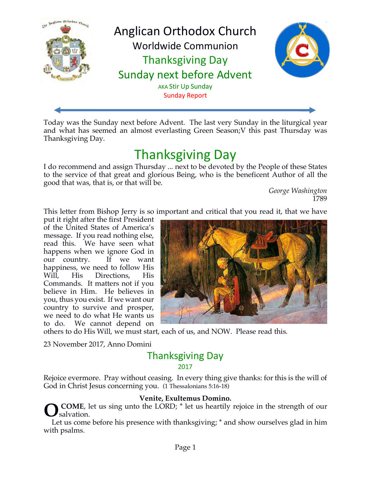

Today was the Sunday next before Advent. The last very Sunday in the liturgical year and what has seemed an almost everlasting Green Season;V this past Thursday was Thanksgiving Day.

# **Thanksgiving Day**

I do recommend and assign Thursday ... next to be devoted by the People of these States to the service of that great and glorious Being, who is the beneficent Author of all the good that was, that is, or that will be.

*George Washington* 1789

This letter from Bishop Jerry is so important and critical that you read it, that we have

put it right after the first President of the United States of America's message. If you read nothing else, read this. We have seen what happens when we ignore God in our country. If we want happiness, we need to follow His Will, His Directions, His Commands. It matters not if you believe in Him. He believes in you, thus you exist. If we want our country to survive and prosper, we need to do what He wants us to do. We cannot depend on



others to do His Will, we must start, each of us, and NOW. Please read this.

23 November 2017, Anno Domini

## **Thanksgiving Day**

#### 2017

Rejoice evermore. Pray without ceasing. In every thing give thanks: for this is the will of God in Christ Jesus concerning you. (1 Thessalonians 5:16-18)

#### **Venite, Exultemus Domino.**

**COME**, let us sing unto the LORD;  $*$  let us heartily rejoice in the strength of our salvation. **O**

Let us come before his presence with thanksgiving;  $*$  and show ourselves glad in him with psalms.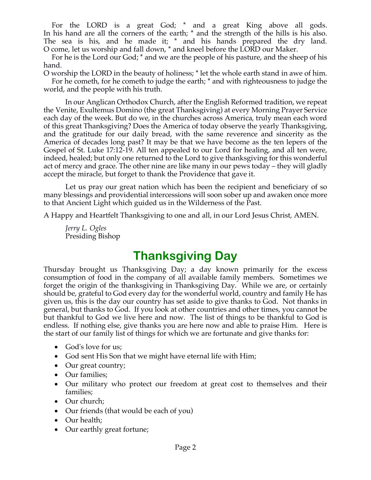For the LORD is a great God; \* and a great King above all gods. In his hand are all the corners of the earth; \* and the strength of the hills is his also. The sea is his, and he made it; \* and his hands prepared the dry land. O come, let us worship and fall down, \* and kneel before the LORD our Maker.

For he is the Lord our God; \* and we are the people of his pasture, and the sheep of his hand.

O worship the LORD in the beauty of holiness; \* let the whole earth stand in awe of him. For he cometh, for he cometh to judge the earth; \* and with righteousness to judge the world, and the people with his truth.

In our Anglican Orthodox Church, after the English Reformed tradition, we repeat the Venite, Exultemus Domino (the great Thanksgiving) at every Morning Prayer Service each day of the week. But do we, in the churches across America, truly mean each word of this great Thanksgiving? Does the America of today observe the yearly Thanksgiving, and the gratitude for our daily bread, with the same reverence and sincerity as the America of decades long past? It may be that we have become as the ten lepers of the Gospel of St. Luke 17:12-19. All ten appealed to our Lord for healing, and all ten were, indeed, healed; but only one returned to the Lord to give thanksgiving for this wonderful act of mercy and grace. The other nine are like many in our pews today – they will gladly accept the miracle, but forget to thank the Providence that gave it.

Let us pray our great nation which has been the recipient and beneficiary of so many blessings and providential intercessions will soon sober up and awaken once more to that Ancient Light which guided us in the Wilderness of the Past.

A Happy and Heartfelt Thanksgiving to one and all, in our Lord Jesus Christ, AMEN.

*Jerry L. Ogles* Presiding Bishop

## **Thanksgiving Day**

Thursday brought us Thanksgiving Day; a day known primarily for the excess consumption of food in the company of all available family members. Sometimes we forget the origin of the thanksgiving in Thanksgiving Day. While we are, or certainly should be, grateful to God every day for the wonderful world, country and family He has given us, this is the day our country has set aside to give thanks to God. Not thanks in general, but thanks to God. If you look at other countries and other times, you cannot be but thankful to God we live here and now. The list of things to be thankful to God is endless. If nothing else, give thanks you are here now and able to praise Him. Here is the start of our family list of things for which we are fortunate and give thanks for:

- God's love for us;
- God sent His Son that we might have eternal life with Him;
- Our great country;
- Our families;
- Our military who protect our freedom at great cost to themselves and their families;
- Our church;
- Our friends (that would be each of you)
- Our health;
- Our earthly great fortune;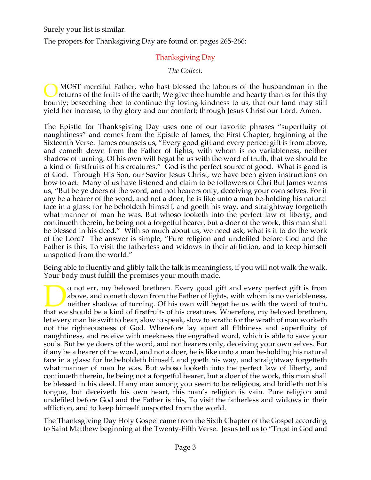Surely your list is similar.

The propers for Thanksgiving Day are found on pages 265-266:

## Thanksgiving Day

*The Collect.*

MOST merciful Father, who hast blessed the labours of the husbandman in the returns of the fruits of the earth; We give thee humble and hearty thanks for this thy bounty; beseeching thee to continue thy loving-kindness to us, that our land may still yield her increase, to thy glory and our comfort; through Jesus Christ our Lord. Amen. O

The Epistle for Thanksgiving Day uses one of our favorite phrases "superfluity of naughtiness" and comes from the Epistle of James, the First Chapter, beginning at the Sixteenth Verse. James counsels us, "Every good gift and every perfect gift is from above, and cometh down from the Father of lights, with whom is no variableness, neither shadow of turning. Of his own will begat he us with the word of truth, that we should be a kind of firstfruits of his creatures." God is the perfect source of good. What is good is of God. Through His Son, our Savior Jesus Christ, we have been given instructions on how to act. Many of us have listened and claim to be followers of Chri But James warns us, "But be ye doers of the word, and not hearers only, deceiving your own selves. For if any be a hearer of the word, and not a doer, he is like unto a man be-holding his natural face in a glass: for he beholdeth himself, and goeth his way, and straightway forgetteth what manner of man he was. But whoso looketh into the perfect law of liberty, and continueth therein, he being not a forgetful hearer, but a doer of the work, this man shall be blessed in his deed." With so much about us, we need ask, what is it to do the work of the Lord? The answer is simple, "Pure religion and undefiled before God and the Father is this, To visit the fatherless and widows in their affliction, and to keep himself unspotted from the world."

Being able to fluently and glibly talk the talk is meaningless, if you will not walk the walk. Your body must fulfill the promises your mouth made.

o not err, my beloved brethren. Every good gift and every perfect gift is from above, and cometh down from the Father of lights, with whom is no variableness, neither shadow of turning. Of his own will begat he us with the word of truth, If and every perfect gift is from above, and cometh down from the Father of lights, with whom is no variableness, neither shadow of turning. Of his own will begat he us with the word of truth, that we should be a kind of f let every man be swift to hear, slow to speak, slow to wrath: for the wrath of man worketh not the righteousness of God. Wherefore lay apart all filthiness and superfluity of naughtiness, and receive with meekness the engrafted word, which is able to save your souls. But be ye doers of the word, and not hearers only, deceiving your own selves. For if any be a hearer of the word, and not a doer, he is like unto a man be-holding his natural face in a glass: for he beholdeth himself, and goeth his way, and straightway forgetteth what manner of man he was. But whoso looketh into the perfect law of liberty, and continueth therein, he being not a forgetful hearer, but a doer of the work, this man shall be blessed in his deed. If any man among you seem to be religious, and bridleth not his tongue, but deceiveth his own heart, this man's religion is vain. Pure religion and undefiled before God and the Father is this, To visit the fatherless and widows in their affliction, and to keep himself unspotted from the world.

The Thanksgiving Day Holy Gospel came from the Sixth Chapter of the Gospel according to Saint Matthew beginning at the Twenty-Fifth Verse. Jesus tell us to "Trust in God and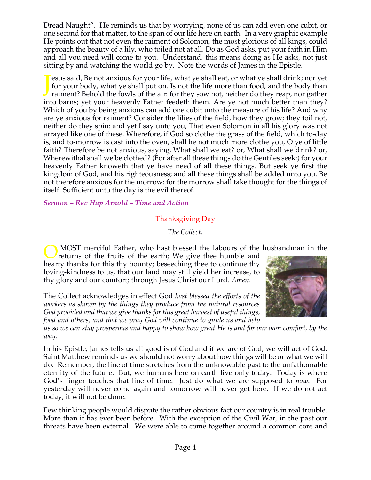Dread Naught". He reminds us that by worrying, none of us can add even one cubit, or one second for that matter, to the span of our life here on earth. In a very graphic example He points out that not even the raiment of Solomon, the most glorious of all kings, could approach the beauty of a lily, who toiled not at all. Do as God asks, put your faith in Him and all you need will come to you. Understand, this means doing as He asks, not just sitting by and watching the world go by. Note the words of James in the Epistle.

esus said, Be not anxious for your life, what ye shall eat, or what ye shall drink; nor yet for your body, what ye shall put on. Is not the life more than food, and the body than raiment? Behold the fowls of the air: for they sow not, neither do they reap, nor gather into barns; yet your heavenly Father feedeth them. Are ye not much better than they? Which of you by being anxious can add one cubit unto the measure of his life? And why are ye anxious for raiment? Consider the lilies of the field, how they grow; they toil not, neither do they spin: and yet I say unto you, That even Solomon in all his glory was not arrayed like one of these. Wherefore, if God so clothe the grass of the field, which to-day is, and to-morrow is cast into the oven, shall he not much more clothe you, O ye of little faith? Therefore be not anxious, saying, What shall we eat? or, What shall we drink? or, Wherewithal shall we be clothed? (For after all these things do the Gentiles seek:) for your heavenly Father knoweth that ye have need of all these things. But seek ye first the kingdom of God, and his righteousness; and all these things shall be added unto you. Be not therefore anxious for the morrow: for the morrow shall take thought for the things of itself. Sufficient unto the day is the evil thereof. J

*Sermon – Rev Hap Arnold – Time and Action*

## Thanksgiving Day

*The Collect.*

MOST merciful Father, who hast blessed the labours of the husbandman in the

returns of the fruits of the earth; We give thee humble and hearty thanks for this thy bounty; beseeching thee to continue thy loving-kindness to us, that our land may still yield her increase, to thy glory and our comfort; through Jesus Christ our Lord. *Amen*. O

The Collect acknowledges in effect God *hast blessed the efforts of the workers as shown by the things they produce from the natural resources God provided and that we give thanks for this great harvest of useful things, food and others, and that we pray God will continue to guide us and help* 

*us so we can stay prosperous and happy to show how great He is and for our own comfort, by the way.*

In his Epistle, James tells us all good is of God and if we are of God, we will act of God. Saint Matthew reminds us we should not worry about how things will be or what we will do. Remember, the line of time stretches from the unknowable past to the unfathomable eternity of the future. But, we humans here on earth live only today. Today is where God's finger touches that line of time. Just do what we are supposed to *now*. For yesterday will never come again and tomorrow will never get here. If we do not act today, it will not be done.

Few thinking people would dispute the rather obvious fact our country is in real trouble. More than it has ever been before. With the exception of the Civil War, in the past our threats have been external. We were able to come together around a common core and

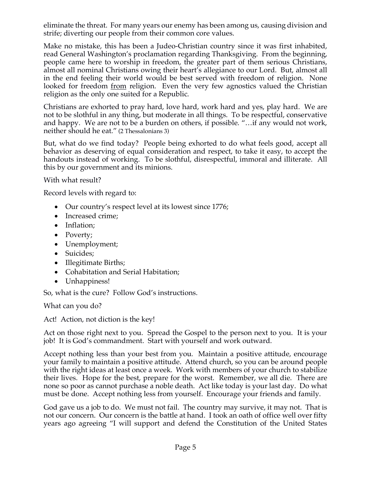eliminate the threat. For many years our enemy has been among us, causing division and strife; diverting our people from their common core values.

Make no mistake, this has been a Judeo-Christian country since it was first inhabited, read General Washington's proclamation regarding Thanksgiving. From the beginning, people came here to worship in freedom, the greater part of them serious Christians, almost all nominal Christians owing their heart's allegiance to our Lord. But, almost all in the end feeling their world would be best served with freedom of religion. None looked for freedom <u>from</u> religion. Even the very few agnostics valued the Christian religion as the only one suited for a Republic.

Christians are exhorted to pray hard, love hard, work hard and yes, play hard. We are not to be slothful in any thing, but moderate in all things. To be respectful, conservative and happy. We are not to be a burden on others, if possible. "…if any would not work, neither should he eat." (2 Thessalonians 3)

But, what do we find today? People being exhorted to do what feels good, accept all behavior as deserving of equal consideration and respect, to take it easy, to accept the handouts instead of working. To be slothful, disrespectful, immoral and illiterate. All this by our government and its minions.

With what result?

Record levels with regard to:

- Our country's respect level at its lowest since 1776;
- Increased crime;
- Inflation;
- Poverty;
- Unemployment;
- Suicides;
- Illegitimate Births;
- Cohabitation and Serial Habitation;
- Unhappiness!

So, what is the cure? Follow God's instructions.

What can you do?

Act! Action, not diction is the key!

Act on those right next to you. Spread the Gospel to the person next to you. It is your job! It is God's commandment. Start with yourself and work outward.

Accept nothing less than your best from you. Maintain a positive attitude, encourage your family to maintain a positive attitude. Attend church, so you can be around people with the right ideas at least once a week. Work with members of your church to stabilize their lives. Hope for the best, prepare for the worst. Remember, we all die. There are none so poor as cannot purchase a noble death. Act like today is your last day. Do what must be done. Accept nothing less from yourself. Encourage your friends and family.

God gave us a job to do. We must not fail. The country may survive, it may not. That is not our concern. Our concern is the battle at hand. I took an oath of office well over fifty years ago agreeing "I will support and defend the Constitution of the United States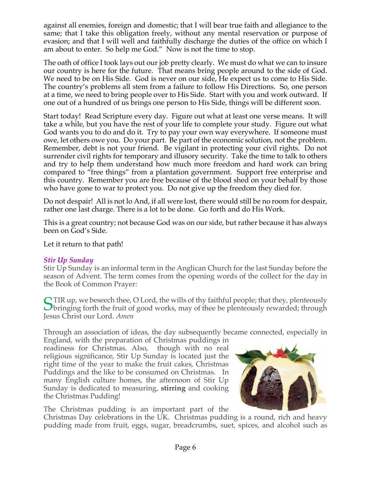against all enemies, foreign and domestic; that I will bear true faith and allegiance to the same; that I take this obligation freely, without any mental reservation or purpose of evasion; and that I will well and faithfully discharge the duties of the office on which I am about to enter. So help me God." Now is not the time to stop.

The oath of office I took lays out our job pretty clearly. We must do what we can to insure our country is here for the future. That means bring people around to the side of God. We need to be on His Side. God is never on our side, He expect us to come to His Side. The country's problems all stem from a failure to follow His Directions. So, one person at a time, we need to bring people over to His Side. Start with you and work outward. If one out of a hundred of us brings one person to His Side, things will be different soon.

Start today! Read Scripture every day. Figure out what at least one verse means. It will take a while, but you have the rest of your life to complete your study. Figure out what God wants you to do and do it. Try to pay your own way everywhere. If someone must owe, let others owe you. Do your part. Be part of the economic solution, not the problem. Remember, debt is not your friend. Be vigilant in protecting your civil rights. Do not surrender civil rights for temporary and illusory security. Take the time to talk to others and try to help them understand how much more freedom and hard work can bring compared to "free things" from a plantation government. Support free enterprise and this country. Remember you are free because of the blood shed on your behalf by those who have gone to war to protect you. Do not give up the freedom they died for.

Do not despair! All is not lo And, if all were lost, there would still be no room for despair, rather one last charge. There is a lot to be done. Go forth and do His Work.

This is a great country; not because God was on our side, but rather because it has always been on God's Side.

Let it return to that path!

## *Stir Up Sunday*

Stir Up Sunday is an informal term in the Anglican Church for the last Sunday before the season of Advent. The term comes from the opening words of the collect for the day in the Book of Common Prayer:

STIR up, we beseech thee, O Lord, the wills of thy faithful people; that they, plenteously<br>Sbringing forth the fruit of good works, may of thee be plenteously rewarded; through bringing forth the fruit of good works, may of thee be plenteously rewarded; through Jesus Christ our Lord. *Amen*

Through an association of ideas, the day subsequently became connected, especially in

England, with the preparation of Christmas puddings in readiness for Christmas. Also, though with no real religious significance, Stir Up Sunday is located just the right time of the year to make the fruit cakes, Christmas Puddings and the like to be consumed on Christmas. In many English culture homes, the afternoon of Stir Up Sunday is dedicated to measuring, **stirring** and cooking the Christmas Pudding!



The Christmas pudding is an important part of the

Christmas Day celebrations in the UK. Christmas pudding is a round, rich and heavy pudding made from fruit, eggs, sugar, breadcrumbs, suet, spices, and alcohol such as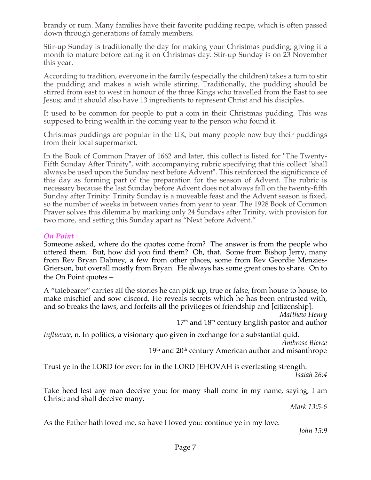brandy or rum. Many families have their favorite pudding recipe, which is often passed down through generations of family members.

Stir-up Sunday is traditionally the day for making your Christmas pudding; giving it a month to mature before eating it on Christmas day. Stir-up Sunday is on 23 November this year.

According to tradition, everyone in the family (especially the children) takes a turn to stir the pudding and makes a wish while stirring. Traditionally, the pudding should be stirred from east to west in honour of the three Kings who travelled from the East to see Jesus; and it should also have 13 ingredients to represent Christ and his disciples.

It used to be common for people to put a coin in their Christmas pudding. This was supposed to bring wealth in the coming year to the person who found it.

Christmas puddings are popular in the UK, but many people now buy their puddings from their local supermarket.

In the Book of Common Prayer of 1662 and later, this collect is listed for "The Twenty-Fifth Sunday After Trinity", with accompanying rubric specifying that this collect "shall always be used upon the Sunday next before Advent". This reinforced the significance of this day as forming part of the preparation for the season of Advent. The rubric is necessary because the last Sunday before Advent does not always fall on the twenty-fifth Sunday after Trinity: Trinity Sunday is a moveable feast and the Advent season is fixed, so the number of weeks in between varies from year to year. The 1928 Book of Common Prayer solves this dilemma by marking only 24 Sundays after Trinity, with provision for two more, and setting this Sunday apart as "Next before Advent."

## *On Point*

Someone asked, where do the quotes come from? The answer is from the people who uttered them. But, how did you find them? Oh, that. Some from Bishop Jerry, many from Rev Bryan Dabney, a few from other places, some from Rev Geordie Menzies-Grierson, but overall mostly from Bryan. He always has some great ones to share. On to the On Point quotes –

A "talebearer" carries all the stories he can pick up, true or false, from house to house, to make mischief and sow discord. He reveals secrets which he has been entrusted with, and so breaks the laws, and forfeits all the privileges of friendship and [citizenship].

*Matthew Henry*

17<sup>th</sup> and 18<sup>th</sup> century English pastor and author

*Influence*, n. In politics, a visionary quo given in exchange for a substantial quid. *Ambrose Bierce*

 $19<sup>th</sup>$  and  $20<sup>th</sup>$  century American author and misanthrope

Trust ye in the LORD for ever: for in the LORD JEHOVAH is everlasting strength. *Isaiah 26:4*

Take heed lest any man deceive you: for many shall come in my name, saying, I am Christ; and shall deceive many.

*Mark 13:5-6*

As the Father hath loved me, so have I loved you: continue ye in my love.

*John 15:9*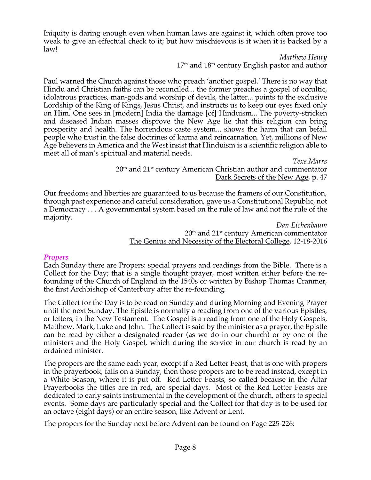Iniquity is daring enough even when human laws are against it, which often prove too weak to give an effectual check to it; but how mischievous is it when it is backed by a law!

> *Matthew Henry*  $17<sup>th</sup>$  and  $18<sup>th</sup>$  century English pastor and author

Paul warned the Church against those who preach 'another gospel.' There is no way that Hindu and Christian faiths can be reconciled... the former preaches a gospel of occultic, idolatrous practices, man-gods and worship of devils, the latter... points to the exclusive Lordship of the King of Kings, Jesus Christ, and instructs us to keep our eyes fixed only on Him. One sees in [modern] India the damage [of] Hinduism... The poverty-stricken and diseased Indian masses disprove the New Age lie that this religion can bring prosperity and health. The horrendous caste system... shows the harm that can befall people who trust in the false doctrines of karma and reincarnation. Yet, millions of New Age believers in America and the West insist that Hinduism is a scientific religion able to meet all of man's spiritual and material needs.

*Texe Marrs*  $20<sup>th</sup>$  and  $21<sup>st</sup>$  century American Christian author and commentator Dark Secrets of the New Age, p. 47

Our freedoms and liberties are guaranteed to us because the framers of our Constitution, through past experience and careful consideration, gave us a Constitutional Republic, not a Democracy . . . A governmental system based on the rule of law and not the rule of the majority.

*Dan Eichenbaum*  $20<sup>th</sup>$  and  $21<sup>st</sup>$  century American commentator The Genius and Necessity of the Electoral College, 12-18-2016

## *Propers*

Each Sunday there are Propers: special prayers and readings from the Bible. There is a Collect for the Day; that is a single thought prayer, most written either before the refounding of the Church of England in the 1540s or written by Bishop Thomas Cranmer, the first Archbishop of Canterbury after the re-founding.

The Collect for the Day is to be read on Sunday and during Morning and Evening Prayer until the next Sunday. The Epistle is normally a reading from one of the various Epistles, or letters, in the New Testament. The Gospel is a reading from one of the Holy Gospels, Matthew, Mark, Luke and John. The Collect is said by the minister as a prayer, the Epistle can be read by either a designated reader (as we do in our church) or by one of the ministers and the Holy Gospel, which during the service in our church is read by an ordained minister.

The propers are the same each year, except if a Red Letter Feast, that is one with propers in the prayerbook, falls on a Sunday, then those propers are to be read instead, except in a White Season, where it is put off. Red Letter Feasts, so called because in the Altar Prayerbooks the titles are in red, are special days. Most of the Red Letter Feasts are dedicated to early saints instrumental in the development of the church, others to special events. Some days are particularly special and the Collect for that day is to be used for an octave (eight days) or an entire season, like Advent or Lent.

The propers for the Sunday next before Advent can be found on Page 225-226: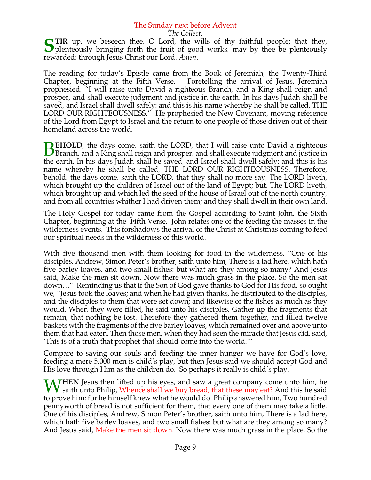### The Sunday next before Advent

*The Collect.*

**S** TIR up, we beseech thee, O Lord, the wills of thy faithful people; that they, plenteously bringing forth the fruit of good works, may by thee be plenteously  $\Box$  plenteously bringing forth the fruit of good works, may by thee be plenteously rewarded; through Jesus Christ our Lord. *Amen*.

The reading for today's Epistle came from the Book of Jeremiah, the Twenty-Third Chapter, beginning at the Fifth Verse. Foretelling the arrival of Jesus, Jeremiah prophesied, "I will raise unto David a righteous Branch, and a King shall reign and prosper, and shall execute judgment and justice in the earth. In his days Judah shall be saved, and Israel shall dwell safely: and this is his name whereby he shall be called, THE LORD OUR RIGHTEOUSNESS." He prophesied the New Covenant, moving reference of the Lord from Egypt to Israel and the return to one people of those driven out of their homeland across the world.

**EHOLD**, the days come, saith the LORD, that I will raise unto David a righteous **BEHOLD**, the days come, saith the LORD, that I will raise unto David a righteous Branch, and a King shall reign and prosper, and shall execute judgment and justice in the earth. In his days Judah shall be saved, and Israel shall dwell safely: and this is his name whereby he shall be called, THE LORD OUR RIGHTEOUSNESS. Therefore, behold, the days come, saith the LORD, that they shall no more say, The LORD liveth, which brought up the children of Israel out of the land of Egypt; but, The LORD liveth, which brought up and which led the seed of the house of Israel out of the north country, and from all countries whither I had driven them; and they shall dwell in their own land.

The Holy Gospel for today came from the Gospel according to Saint John, the Sixth Chapter, beginning at the Fifth Verse. John relates one of the feeding the masses in the wilderness events. This forshadows the arrival of the Christ at Christmas coming to feed our spiritual needs in the wilderness of this world.

With five thousand men with them looking for food in the wilderness, "One of his disciples, Andrew, Simon Peter's brother, saith unto him, There is a lad here, which hath five barley loaves, and two small fishes: but what are they among so many? And Jesus said, Make the men sit down. Now there was much grass in the place. So the men sat down…" Reminding us that if the Son of God gave thanks to God for His food, so ought we, "Jesus took the loaves; and when he had given thanks, he distributed to the disciples, and the disciples to them that were set down; and likewise of the fishes as much as they would. When they were filled, he said unto his disciples, Gather up the fragments that remain, that nothing be lost. Therefore they gathered them together, and filled twelve baskets with the fragments of the five barley loaves, which remained over and above unto them that had eaten. Then those men, when they had seen the miracle that Jesus did, said, 'This is of a truth that prophet that should come into the world.'"

Compare to saving our souls and feeding the inner hunger we have for God's love, feeding a mere 5,000 men is child's play, but then Jesus said we should accept God and His love through Him as the children do. So perhaps it really is child's play.

**WHEN** Jesus then lifted up his eyes, and saw a great company come unto him, he saith unto Philip, Whence shall we buy bread, that these may eat? And this he said saith unto Philip, Whence shall we buy bread, that these may eat? And this he said to prove him: for he himself knew what he would do. Philip answered him, Two hundred pennyworth of bread is not sufficient for them, that every one of them may take a little. One of his disciples, Andrew, Simon Peter's brother, saith unto him, There is a lad here, which hath five barley loaves, and two small fishes: but what are they among so many? And Jesus said, Make the men sit down. Now there was much grass in the place. So the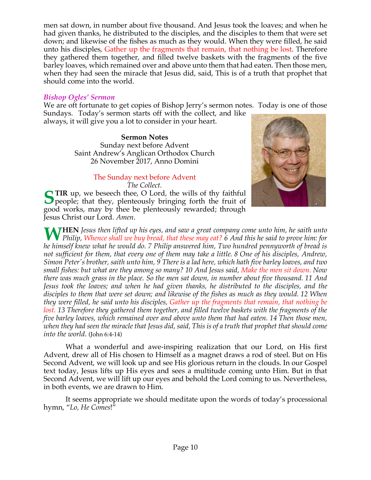men sat down, in number about five thousand. And Jesus took the loaves; and when he had given thanks, he distributed to the disciples, and the disciples to them that were set down; and likewise of the fishes as much as they would. When they were filled, he said unto his disciples, Gather up the fragments that remain, that nothing be lost. Therefore they gathered them together, and filled twelve baskets with the fragments of the five barley loaves, which remained over and above unto them that had eaten. Then those men, when they had seen the miracle that Jesus did, said, This is of a truth that prophet that should come into the world.

#### *Bishop Ogles' Sermon*

We are oft fortunate to get copies of Bishop Jerry's sermon notes. Today is one of those Sundays. Today's sermon starts off with the collect, and like

always, it will give you a lot to consider in your heart.

**Sermon Notes** Sunday next before Advent Saint Andrew's Anglican Orthodox Church 26 November 2017, Anno Domini

## The Sunday next before Advent *The Collect.*

**TIR** up, we beseech thee, O Lord, the wills of thy faithful **STIR** up, we beseech thee, O Lord, the wills of thy faithful people; that they, plenteously bringing forth the fruit of good works, may by thee be plenteously rewarded; through Jesus Christ our Lord. *Amen*.



**HEN** *Jesus then lifted up his eyes, and saw a great company come unto him, he saith unto Philip, Whence shall we buy bread, that these may eat?* **6** *And this he said to prove him:* **for** *diationally, Whence shall we buy bread, that these may eat?* **6** *And this he said to prove him:* **for** *he himself knew what he would do. 7 Philip answered him, Two hundred pennyworth of bread is not sufficient for them, that every one of them may take a little. 8 One of his disciples, Andrew, Simon Peter's brother, saith unto him, 9 There is a lad here, which hath five barley loaves, and two small fishes: but what are they among so many? 10 And Jesus said, Make the men sit down. Now there was much grass in the place. So the men sat down, in number about five thousand. 11 And Jesus took the loaves; and when he had given thanks, he distributed to the disciples, and the disciples to them that were set down; and likewise of the fishes as much as they would. 12 When they were filled, he said unto his disciples, Gather up the fragments that remain, that nothing be lost. 13 Therefore they gathered them together, and filled twelve baskets with the fragments of the five barley loaves, which remained over and above unto them that had eaten. 14 Then those men, when they had seen the miracle that Jesus did, said, This is of a truth that prophet that should come into the world*. (John 6:4-14)

What a wonderful and awe-inspiring realization that our Lord, on His first Advent, drew all of His chosen to Himself as a magnet draws a rod of steel. But on His Second Advent, we will look up and see His glorious return in the clouds. In our Gospel text today, Jesus lifts up His eyes and sees a multitude coming unto Him. But in that Second Advent, we will lift up our eyes and behold the Lord coming to us. Nevertheless, in both events, we are drawn to Him.

It seems appropriate we should meditate upon the words of today's processional hymn, "*Lo, He Comes*!"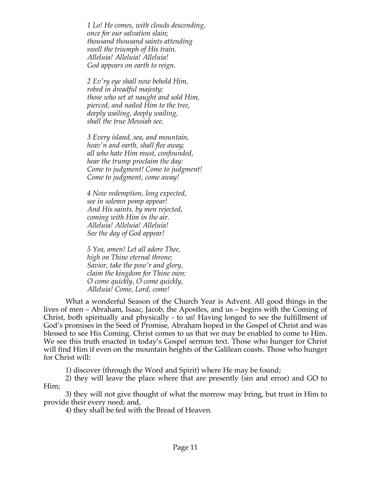*1 Lo! He comes, with clouds descending, once for our salvation slain; thousand thousand saints attending swell the triumph of His train. Alleluia! Alleluia! Alleluia! God appears on earth to reign.*

*2 Ev'ry eye shall now behold Him, robed in dreadful majesty; those who set at naught and sold Him, pierced, and nailed Him to the tree, deeply wailing, deeply wailing, shall the true Messiah see.*

*3 Every island, sea, and mountain, heav'n and earth, shall flee away; all who hate Him must, confounded, hear the trump proclaim the day: Come to judgment! Come to judgment! Come to judgment, come away!*

*4 Now redemption, long expected, see in solemn pomp appear! And His saints, by men rejected, coming with Him in the air. Alleluia! Alleluia! Alleluia! See the day of God appear!*

*5 Yea, amen! Let all adore Thee, high on Thine eternal throne; Savior, take the pow'r and glory, claim the kingdom for Thine own: O come quickly, O come quickly, Alleluia! Come, Lord, come!*

What a wonderful Season of the Church Year is Advent. All good things in the lives of men – Abraham, Isaac, Jacob, the Apostles, and us – begins with the Coming of Christ, both spiritually and physically - to us! Having longed to see the fulfillment of God's promises in the Seed of Promise, Abraham hoped in the Gospel of Christ and was blessed to see His Coming. Christ comes to us that we may be enabled to come to Him. We see this truth enacted in today's Gospel sermon text. Those who hunger for Christ will find Him if even on the mountain heights of the Galilean coasts. Those who hunger for Christ will:

1) discover (through the Word and Spirit) where He may be found;

2) they will leave the place where that are presently (sin and error) and GO to Him;

3) they will not give thought of what the morrow may bring, but trust in Him to provide their every need; and,

4) they shall be fed with the Bread of Heaven.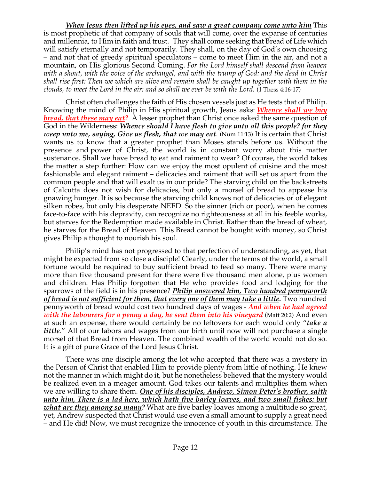*When Jesus then lifted up his eyes, and saw a great company come unto him* This is most prophetic of that company of souls that will come, over the expanse of centuries and millennia, to Him in faith and trust. They shall come seeking that Bread of Life which will satisfy eternally and not temporarily. They shall, on the day of God's own choosing – and not that of greedy spiritual speculators – come to meet Him in the air, and not a mountain, on His glorious Second Coming. *For the Lord himself shall descend from heaven with a shout, with the voice of the archangel, and with the trump of God: and the dead in Christ shall rise first: Then we which are alive and remain shall be caught up together with them in the clouds, to meet the Lord in the air: and so shall we ever be with the Lord.* (1 Thess 4:16-17)

Christ often challenges the faith of His chosen vessels just as He tests that of Philip. Knowing the mind of Philip in His spiritual growth, Jesus asks: *Whence shall we buy bread, that these may eat?* A lesser prophet than Christ once asked the same question of God in the Wilderness: *Whence should I have flesh to give unto all this people? for they weep unto me, saying, Give us flesh, that we may eat*. (Num 11:13) It is certain that Christ wants us to know that a greater prophet than Moses stands before us. Without the presence and power of Christ, the world is in constant worry about this matter sustenance. Shall we have bread to eat and raiment to wear? Of course, the world takes the matter a step further: How can we enjoy the most opulent of cuisine and the most fashionable and elegant raiment – delicacies and raiment that will set us apart from the common people and that will exalt us in our pride? The starving child on the backstreets of Calcutta does not wish for delicacies, but only a morsel of bread to appease his gnawing hunger. It is so because the starving child knows not of delicacies or of elegant silken robes, but only his desperate NEED. So the sinner (rich or poor), when he comes face-to-face with his depravity, can recognize no righteousness at all in his feeble works, but starves for the Redemption made available in Christ. Rather than the bread of wheat, he starves for the Bread of Heaven. This Bread cannot be bought with money, so Christ gives Philip a thought to nourish his soul.

Philip's mind has not progressed to that perfection of understanding, as yet, that might be expected from so close a disciple! Clearly, under the terms of the world, a small fortune would be required to buy sufficient bread to feed so many. There were many more than five thousand present for there were five thousand men alone, plus women and children. Has Philip forgotten that He who provides food and lodging for the sparrows of the field is in his presence? *Philip answered him, Two hundred pennyworth of bread is not sufficient for them, that every one of them may take a little.* Two hundred pennyworth of bread would cost two hundred days of wages - *And when he had agreed with the labourers for a penny a day, he sent them into his vineyard* (Matt 20:2) And even at such an expense, there would certainly be no leftovers for each would only "*take a little*." All of our labors and wages from our birth until now will not purchase a single morsel of that Bread from Heaven. The combined wealth of the world would not do so. It is a gift of pure Grace of the Lord Jesus Christ.

There was one disciple among the lot who accepted that there was a mystery in the Person of Christ that enabled Him to provide plenty from little of nothing. He knew not the manner in which might do it, but he nonetheless believed that the mystery would be realized even in a meager amount. God takes our talents and multiplies them when we are willing to share them. *One of his disciples, Andrew, Simon Peter's brother, saith unto him, There is a lad here, which hath five barley loaves, and two small fishes: but what are they among so many?* What are five barley loaves among a multitude so great, yet, Andrew suspected that Christ would use even a small amount to supply a great need – and He did! Now, we must recognize the innocence of youth in this circumstance. The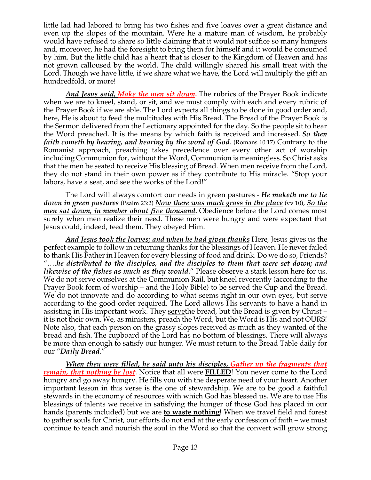little lad had labored to bring his two fishes and five loaves over a great distance and even up the slopes of the mountain. Were he a mature man of wisdom, he probably would have refused to share so little claiming that it would not suffice so many hungers and, moreover, he had the foresight to bring them for himself and it would be consumed by him. But the little child has a heart that is closer to the Kingdom of Heaven and has not grown calloused by the world. The child willingly shared his small treat with the Lord. Though we have little, if we share what we have, the Lord will multiply the gift an hundredfold, or more!

*And Jesus said, Make the men sit down.* The rubrics of the Prayer Book indicate when we are to kneel, stand, or sit, and we must comply with each and every rubric of the Prayer Book if we are able. The Lord expects all things to be done in good order and, here, He is about to feed the multitudes with His Bread. The Bread of the Prayer Book is the Sermon delivered from the Lectionary appointed for the day. So the people sit to hear the Word preached. It is the means by which faith is received and increased. *So then faith cometh by hearing, and hearing by the word of God*. (Romans 10:17) Contrary to the Romanist approach, preaching takes precedence over every other act of worship including Communion for, without the Word, Communion is meaningless. So Christ asks that the men be seated to receive His blessing of Bread. When men receive from the Lord, they do not stand in their own power as if they contribute to His miracle. "Stop your labors, have a seat, and see the works of the Lord!"

The Lord will always comfort our needs in green pastures - *He maketh me to lie down in green pastures* (Psalm 23:2) *Now there was much grass in the place* (vv 10), *So the men sat down, in number about five thousand.* Obedience before the Lord comes most surely when men realize their need. These men were hungry and were expectant that Jesus could, indeed, feed them. They obeyed Him.

*And Jesus took the loaves; and when he had given thanks* Here, Jesus gives us the perfect example to follow in returning thanks for the blessings of Heaven. He never failed to thank His Father in Heaven for every blessing of food and drink. Do we do so, Friends? "….*he distributed to the disciples, and the disciples to them that were set down; and likewise of the fishes as much as they would.*" Please observe a stark lesson here for us. We do not serve ourselves at the Communion Rail, but kneel reverently (according to the Prayer Book form of worship – and the Holy Bible) to be served the Cup and the Bread. We do not innovate and do according to what seems right in our own eyes, but serve according to the good order required. The Lord allows His servants to have a hand in assisting in His important work. They servethe bread, but the Bread is given by Christ – it is not their own. We, as ministers, preach the Word, but the Word is His and not OURS! Note also, that each person on the grassy slopes received as much as they wanted of the bread and fish. The cupboard of the Lord has no bottom of blessings. There will always be more than enough to satisfy our hunger. We must return to the Bread Table daily for our "*Daily Bread*."

*When they were filled, he said unto his disciples, Gather up the fragments that remain, that nothing be lost*. Notice that all were **FILLED**! You never come to the Lord hungry and go away hungry. He fills you with the desperate need of your heart. Another important lesson in this verse is the one of stewardship. We are to be good a faithful stewards in the economy of resources with which God has blessed us. We are to use His blessings of talents we receive in satisfying the hunger of those God has placed in our hands (parents included) but we are **to waste nothing**! When we travel field and forest to gather souls for Christ, our efforts do not end at the early confession of faith – we must continue to teach and nourish the soul in the Word so that the convert will grow strong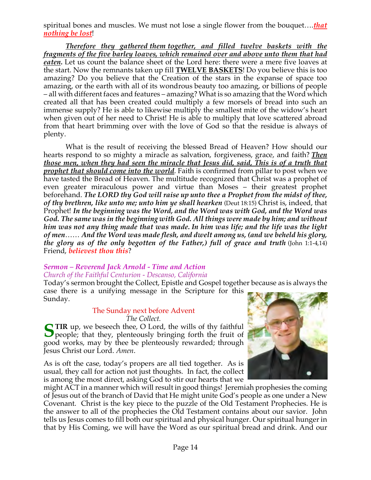spiritual bones and muscles. We must not lose a single flower from the bouquet….*that nothing be lost*!

*Therefore they gathered them together, and filled twelve baskets with the fragments of the five barley loaves, which remained over and above unto them that had eaten.* Let us count the balance sheet of the Lord here: there were a mere five loaves at the start. Now the remnants taken up fill **TWELVE BASKETS**! Do you believe this is too amazing? Do you believe that the Creation of the stars in the expanse of space too amazing, or the earth with all of its wondrous beauty too amazing, or billions of people – all with different faces and features – amazing? What is so amazing that the Word which created all that has been created could multiply a few morsels of bread into such an immense supply? He is able to likewise multiply the smallest mite of the widow's heart when given out of her need to Christ! He is able to multiply that love scattered abroad from that heart brimming over with the love of God so that the residue is always of plenty.

What is the result of receiving the blessed Bread of Heaven? How should our hearts respond to so mighty a miracle as salvation, forgiveness, grace, and faith? *Then those men, when they had seen the miracle that Jesus did, said, This is of a truth that prophet that should come into the world*. Faith is confirmed from pillar to post when we have tasted the Bread of Heaven. The multitude recognized that Christ was a prophet of even greater miraculous power and virtue than Moses – their greatest prophet beforehand. *The LORD thy God will raise up unto thee a Prophet from the midst of thee, of thy brethren, like unto me; unto him ye shall hearken* (Deut 18:15) Christ is, indeed, that Prophet! *In the beginning was the Word, and the Word was with God, and the Word was God. The same was in the beginning with God. All things were made by him; and without him was not any thing made that was made. In him was life; and the life was the light of men*…… *And the Word was made flesh, and dwelt among us, (and we beheld his glory, the glory as of the only begotten of the Father,) full of grace and truth* (John 1:1-4,14) Friend, *believest thou this*?

## *Sermon – Reverend Jack Arnold - Time and Action Church of the Faithful Centurion - Descanso, California*

Today's sermon brought the Collect, Epistle and Gospel together because as is always the case there is a unifying message in the Scripture for this

Sunday.

## The Sunday next before Advent

*The Collect.*

STIR up, we beseech thee, O Lord, the wills of thy faithful people; that they, plenteously bringing forth the fruit of  $\Box$  people; that they, plenteously bringing forth the fruit of good works, may by thee be plenteously rewarded; through Jesus Christ our Lord. *Amen*.

As is oft the case, today's propers are all tied together. As is usual, they call for action not just thoughts. In fact, the collect is among the most direct, asking God to stir our hearts that we



might ACT in a manner which will result in good things! Jeremiah prophesies the coming of Jesus out of the branch of David that He might unite God's people as one under a New Covenant. Christ is the key piece to the puzzle of the Old Testament Prophecies. He is the answer to all of the prophecies the Old Testament contains about our savior. John tells us Jesus comes to fill both our spiritual and physical hunger. Our spiritual hunger in that by His Coming, we will have the Word as our spiritual bread and drink. And our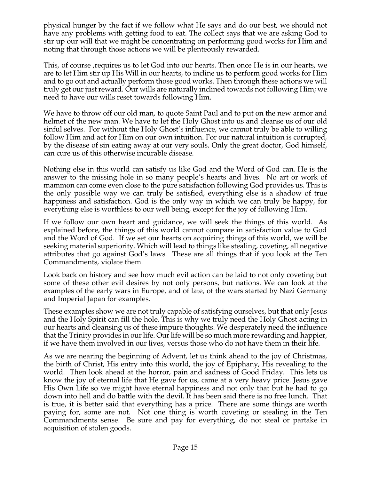physical hunger by the fact if we follow what He says and do our best, we should not have any problems with getting food to eat. The collect says that we are asking God to stir up our will that we might be concentrating on performing good works for Him and noting that through those actions we will be plenteously rewarded.

This, of course ,requires us to let God into our hearts. Then once He is in our hearts, we are to let Him stir up His Will in our hearts, to incline us to perform good works for Him and to go out and actually perform those good works. Then through these actions we will truly get our just reward. Our wills are naturally inclined towards not following Him; we need to have our wills reset towards following Him.

We have to throw off our old man, to quote Saint Paul and to put on the new armor and helmet of the new man. We have to let the Holy Ghost into us and cleanse us of our old sinful selves. For without the Holy Ghost's influence, we cannot truly be able to willing follow Him and act for Him on our own intuition. For our natural intuition is corrupted, by the disease of sin eating away at our very souls. Only the great doctor, God himself, can cure us of this otherwise incurable disease.

Nothing else in this world can satisfy us like God and the Word of God can. He is the answer to the missing hole in so many people's hearts and lives. No art or work of mammon can come even close to the pure satisfaction following God provides us. This is the only possible way we can truly be satisfied, everything else is a shadow of true happiness and satisfaction. God is the only way in which we can truly be happy, for everything else is worthless to our well being, except for the joy of following Him.

If we follow our own heart and guidance, we will seek the things of this world. As explained before, the things of this world cannot compare in satisfaction value to God and the Word of God. If we set our hearts on acquiring things of this world, we will be seeking material superiority. Which will lead to things like stealing, coveting, all negative attributes that go against God's laws. These are all things that if you look at the Ten Commandments, violate them.

Look back on history and see how much evil action can be laid to not only coveting but some of these other evil desires by not only persons, but nations. We can look at the examples of the early wars in Europe, and of late, of the wars started by Nazi Germany and Imperial Japan for examples.

These examples show we are not truly capable of satisfying ourselves, but that only Jesus and the Holy Spirit can fill the hole. This is why we truly need the Holy Ghost acting in our hearts and cleansing us of these impure thoughts. We desperately need the influence that the Trinity provides in our life. Our life will be so much more rewarding and happier, if we have them involved in our lives, versus those who do not have them in their life.

As we are nearing the beginning of Advent, let us think ahead to the joy of Christmas, the birth of Christ, His entry into this world, the joy of Epiphany, His revealing to the world. Then look ahead at the horror, pain and sadness of Good Friday. This lets us know the joy of eternal life that He gave for us, came at a very heavy price. Jesus gave His Own Life so we might have eternal happiness and not only that but he had to go down into hell and do battle with the devil. It has been said there is no free lunch. That is true, it is better said that everything has a price. There are some things are worth paying for, some are not. Not one thing is worth coveting or stealing in the Ten Commandments sense. Be sure and pay for everything, do not steal or partake in acquisition of stolen goods.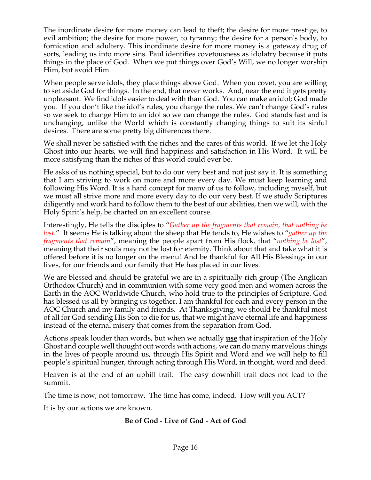The inordinate desire for more money can lead to theft; the desire for more prestige, to evil ambition; the desire for more power, to tyranny; the desire for a person's body, to fornication and adultery. This inordinate desire for more money is a gateway drug of sorts, leading us into more sins. Paul identifies covetousness as idolatry because it puts things in the place of God. When we put things over God's Will, we no longer worship Him, but avoid Him.

When people serve idols, they place things above God. When you covet, you are willing to set aside God for things. In the end, that never works. And, near the end it gets pretty unpleasant. We find idols easier to deal with than God. You can make an idol; God made you. If you don't like the idol's rules, you change the rules. We can't change God's rules so we seek to change Him to an idol so we can change the rules. God stands fast and is unchanging, unlike the World which is constantly changing things to suit its sinful desires. There are some pretty big differences there.

We shall never be satisfied with the riches and the cares of this world. If we let the Holy Ghost into our hearts, we will find happiness and satisfaction in His Word. It will be more satisfying than the riches of this world could ever be.

He asks of us nothing special, but to do our very best and not just say it. It is something that I am striving to work on more and more every day. We must keep learning and following His Word. It is a hard concept for many of us to follow, including myself, but we must all strive more and more every day to do our very best. If we study Scriptures diligently and work hard to follow them to the best of our abilities, then we will, with the Holy Spirit's help, be charted on an excellent course.

Interestingly, He tells the disciples to "*Gather up the fragments that remain, that nothing be lost*." It seems He is talking about the sheep that He tends to, He wishes to "*gather up the fragments that remain*", meaning the people apart from His flock, that "*nothing be lost*", meaning that their souls may not be lost for eternity. Think about that and take what it is offered before it is no longer on the menu! And be thankful for All His Blessings in our lives, for our friends and our family that He has placed in our lives.

We are blessed and should be grateful we are in a spiritually rich group (The Anglican Orthodox Church) and in communion with some very good men and women across the Earth in the AOC Worldwide Church, who hold true to the principles of Scripture. God has blessed us all by bringing us together. I am thankful for each and every person in the AOC Church and my family and friends. At Thanksgiving, we should be thankful most of all for God sending His Son to die for us, that we might have eternal life and happiness instead of the eternal misery that comes from the separation from God.

Actions speak louder than words, but when we actually **use** that inspiration of the Holy Ghost and couple well thought out words with actions, we can do many marvelous things in the lives of people around us, through His Spirit and Word and we will help to fill people's spiritual hunger, through acting through His Word, in thought, word and deed.

Heaven is at the end of an uphill trail. The easy downhill trail does not lead to the summit.

The time is now, not tomorrow. The time has come, indeed. How will you ACT?

It is by our actions we are known.

#### **Be of God - Live of God - Act of God**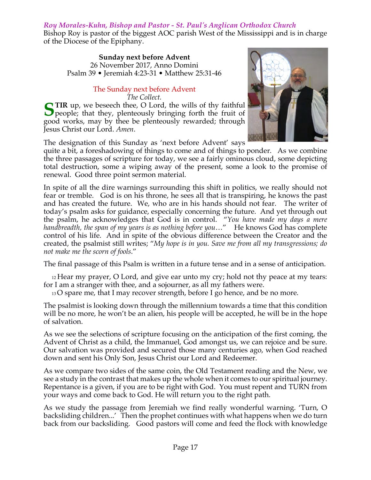## *Roy Morales-Kuhn, Bishop and Pastor - St. Paul's Anglican Orthodox Church*

Bishop Roy is pastor of the biggest AOC parish West of the Mississippi and is in charge of the Diocese of the Epiphany.

**Sunday next before Advent** 26 November 2017, Anno Domini Psalm 39 • Jeremiah 4:23-31 • Matthew 25:31-46

#### The Sunday next before Advent *The Collect.*

STIR up, we beseech thee, O Lord, the wills of thy faithful people; that they, plenteously bringing forth the fruit of  $\Box$  people; that they, plenteously bringing forth the fruit of good works, may by thee be plenteously rewarded; through Jesus Christ our Lord. *Amen*.

The designation of this Sunday as 'next before Advent' says

quite a bit, a foreshadowing of things to come and of things to ponder. As we combine the three passages of scripture for today, we see a fairly ominous cloud, some depicting total destruction, some a wiping away of the present, some a look to the promise of renewal. Good three point sermon material.

In spite of all the dire warnings surrounding this shift in politics, we really should not fear or tremble. God is on his throne, he sees all that is transpiring, he knows the past and has created the future. We, who are in his hands should not fear. The writer of today's psalm asks for guidance, especially concerning the future. And yet through out the psalm, he acknowledges that God is in control. "*You have made my days a mere handbreadth, the span of my years is as nothing before you*…" He knows God has complete control of his life. And in spite of the obvious difference between the Creator and the created, the psalmist still writes; "*My hope is in you. Save me from all my transgressions; do not make me the scorn of fools*."

The final passage of this Psalm is written in a future tense and in a sense of anticipation.

12 Hear my prayer, O Lord, and give ear unto my cry; hold not thy peace at my tears: for I am a stranger with thee, and a sojourner, as all my fathers were.

13 O spare me, that I may recover strength, before I go hence, and be no more.

The psalmist is looking down through the millennium towards a time that this condition will be no more, he won't be an alien, his people will be accepted, he will be in the hope of salvation.

As we see the selections of scripture focusing on the anticipation of the first coming, the Advent of Christ as a child, the Immanuel, God amongst us, we can rejoice and be sure. Our salvation was provided and secured those many centuries ago, when God reached down and sent his Only Son, Jesus Christ our Lord and Redeemer.

As we compare two sides of the same coin, the Old Testament reading and the New, we see a study in the contrast that makes up the whole when it comes to our spiritual journey. Repentance is a given, if you are to be right with God. You must repent and TURN from your ways and come back to God. He will return you to the right path.

As we study the passage from Jeremiah we find really wonderful warning. 'Turn, O backsliding children...' Then the prophet continues with what happens when we do turn back from our backsliding. Good pastors will come and feed the flock with knowledge

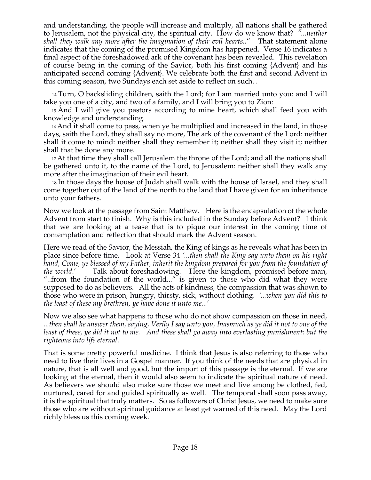and understanding, the people will increase and multiply, all nations shall be gathered to Jerusalem, not the physical city, the spiritual city. How do we know that? *"...neither shall they walk any more after the imagination of their evil hearts..*" That statement alone indicates that the coming of the promised Kingdom has happened. Verse 16 indicates a final aspect of the foreshadowed ark of the covenant has been revealed. This revelation of course being in the coming of the Savior, both his first coming {Advent} and his anticipated second coming {Advent}. We celebrate both the first and second Advent in this coming season, two Sundays each set aside to reflect on such. .

14 Turn, O backsliding children, saith the Lord; for I am married unto you: and I will take you one of a city, and two of a family, and I will bring you to Zion:

15 And I will give you pastors according to mine heart, which shall feed you with knowledge and understanding.

16 And it shall come to pass, when ye be multiplied and increased in the land, in those days, saith the Lord, they shall say no more, The ark of the covenant of the Lord: neither shall it come to mind: neither shall they remember it; neither shall they visit it; neither shall that be done any more.

17 At that time they shall call Jerusalem the throne of the Lord; and all the nations shall be gathered unto it, to the name of the Lord, to Jerusalem: neither shall they walk any more after the imagination of their evil heart.

18 In those days the house of Judah shall walk with the house of Israel, and they shall come together out of the land of the north to the land that I have given for an inheritance unto your fathers.

Now we look at the passage from Saint Matthew. Here is the encapsulation of the whole Advent from start to finish. Why is this included in the Sunday before Advent? I think that we are looking at a tease that is to pique our interest in the coming time of contemplation and reflection that should mark the Advent season.

Here we read of the Savior, the Messiah, the King of kings as he reveals what has been in place since before time. Look at Verse 34 *'...then shall the King say unto them on his right hand, Come, ye blessed of my Father, inherit the kingdom prepared for you from the foundation of the world*.' Talk about foreshadowing. Here the kingdom, promised before man, "..from the foundation of the world..." is given to those who did what they were supposed to do as believers. All the acts of kindness, the compassion that was shown to those who were in prison, hungry, thirsty, sick, without clothing. *'...when you did this to the least of these my brethren, ye have done it unto me...*'

Now we also see what happens to those who do not show compassion on those in need, *...then shall he answer them, saying, Verily I say unto you, Inasmuch as ye did it not to one of the least of these, ye did it not to me. And these shall go away into everlasting punishment: but the righteous into life eternal*.

That is some pretty powerful medicine. I think that Jesus is also referring to those who need to live their lives in a Gospel manner. If you think of the needs that are physical in nature, that is all well and good, but the import of this passage is the eternal. If we are looking at the eternal, then it would also seem to indicate the spiritual nature of need. As believers we should also make sure those we meet and live among be clothed, fed, nurtured, cared for and guided spiritually as well. The temporal shall soon pass away, it is the spiritual that truly matters. So as followers of Christ Jesus, we need to make sure those who are without spiritual guidance at least get warned of this need. May the Lord richly bless us this coming week.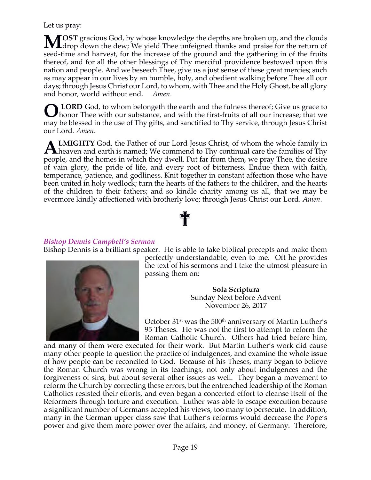Let us pray:

**OST** gracious God, by whose knowledge the depths are broken up, and the clouds MOST gracious God, by whose knowledge the depths are broken up, and the clouds drop down the dew; We yield Thee unfeigned thanks and praise for the return of seed-time and harvest, for the increase of the ground and the gathering in of the fruits thereof, and for all the other blessings of Thy merciful providence bestowed upon this nation and people. And we beseech Thee, give us a just sense of these great mercies; such as may appear in our lives by an humble, holy, and obedient walking before Thee all our days; through Jesus Christ our Lord, to whom, with Thee and the Holy Ghost, be all glory and honor, world without end. *Amen*.

**LORD** God, to whom belongeth the earth and the fulness thereof; Give us grace to honor Thee with our substance, and with the first-fruits of all our increase; that we may be blessed in the use of Thy gifts, and sanctified to Thy service, through Jesus Christ our Lord. *Amen*. **O**

**LMIGHTY** God, the Father of our Lord Jesus Christ, of whom the whole family in **ALMIGHTY** God, the Father of our Lord Jesus Christ, of whom the whole family in heaven and earth is named; We commend to Thy continual care the families of Thy and the boundary of the boundary of the state of the state of people, and the homes in which they dwell. Put far from them, we pray Thee, the desire of vain glory, the pride of life, and every root of bitterness. Endue them with faith, temperance, patience, and godliness. Knit together in constant affection those who have been united in holy wedlock; turn the hearts of the fathers to the children, and the hearts of the children to their fathers; and so kindle charity among us all, that we may be evermore kindly affectioned with brotherly love; through Jesus Christ our Lord. *Amen*.

#### *Bishop Dennis Campbell's Sermon*

Bishop Dennis is a brilliant speaker. He is able to take biblical precepts and make them

✟



perfectly understandable, even to me. Oft he provides the text of his sermons and I take the utmost pleasure in passing them on:

> **Sola Scriptura** Sunday Next before Advent November 26, 2017

October 31<sup>st</sup> was the 500<sup>th</sup> anniversary of Martin Luther's 95 Theses. He was not the first to attempt to reform the Roman Catholic Church. Others had tried before him,

and many of them were executed for their work. But Martin Luther's work did cause many other people to question the practice of indulgences, and examine the whole issue of how people can be reconciled to God. Because of his Theses, many began to believe the Roman Church was wrong in its teachings, not only about indulgences and the forgiveness of sins, but about several other issues as well. They began a movement to reform the Church by correcting these errors, but the entrenched leadership of the Roman Catholics resisted their efforts, and even began a concerted effort to cleanse itself of the Reformers through torture and execution. Luther was able to escape execution because a significant number of Germans accepted his views, too many to persecute. In addition, many in the German upper class saw that Luther's reforms would decrease the Pope's power and give them more power over the affairs, and money, of Germany. Therefore,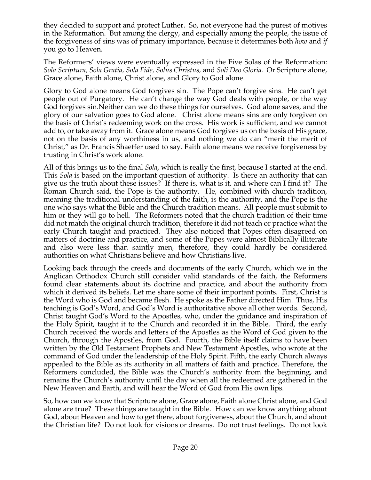they decided to support and protect Luther. So, not everyone had the purest of motives in the Reformation. But among the clergy, and especially among the people, the issue of the forgiveness of sins was of primary importance, because it determines both *how* and *if*  you go to Heaven.

The Reformers' views were eventually expressed in the Five Solas of the Reformation: *Sola Scriptura, Sola Gratia, Sola Fide, Solus Christus,* and *Soli Deo Gloria.* Or Scripture alone, Grace alone, Faith alone, Christ alone, and Glory to God alone.

Glory to God alone means God forgives sin. The Pope can't forgive sins. He can't get people out of Purgatory. He can't change the way God deals with people, or the way God forgives sin.Neither can we do these things for ourselves. God alone saves, and the glory of our salvation goes to God alone. Christ alone means sins are only forgiven on the basis of Christ's redeeming work on the cross. His work is sufficient, and we cannot add to, or take away from it. Grace alone means God forgives us on the basis of His grace, not on the basis of any worthiness in us, and nothing we do can "merit the merit of Christ," as Dr. Francis Shaeffer used to say. Faith alone means we receive forgiveness by trusting in Christ's work alone.

All of this brings us to the final *Sola*, which is really the first, because I started at the end. This *Sola* is based on the important question of authority. Is there an authority that can give us the truth about these issues? If there is, what is it, and where can I find it? The Roman Church said, the Pope is the authority. He, combined with church tradition, meaning the traditional understanding of the faith, is the authority, and the Pope is the one who says what the Bible and the Church tradition means. All people must submit to him or they will go to hell. The Reformers noted that the church tradition of their time did not match the original church tradition, therefore it did not teach or practice what the early Church taught and practiced. They also noticed that Popes often disagreed on matters of doctrine and practice, and some of the Popes were almost Biblically illiterate and also were less than saintly men, therefore, they could hardly be considered authorities on what Christians believe and how Christians live.

Looking back through the creeds and documents of the early Church, which we in the Anglican Orthodox Church still consider valid standards of the faith, the Reformers found clear statements about its doctrine and practice, and about the authority from which it derived its beliefs. Let me share some of their important points. First, Christ is the Word who is God and became flesh. He spoke as the Father directed Him. Thus, His teaching is God's Word, and God's Word is authoritative above all other words. Second, Christ taught God's Word to the Apostles, who, under the guidance and inspiration of the Holy Spirit, taught it to the Church and recorded it in the Bible. Third, the early Church received the words and letters of the Apostles as the Word of God given to the Church, through the Apostles, from God. Fourth, the Bible itself claims to have been written by the Old Testament Prophets and New Testament Apostles, who wrote at the command of God under the leadership of the Holy Spirit. Fifth, the early Church always appealed to the Bible as its authority in all matters of faith and practice. Therefore, the Reformers concluded, the Bible was the Church's authority from the beginning, and remains the Church's authority until the day when all the redeemed are gathered in the New Heaven and Earth, and will hear the Word of God from His own lips.

So, how can we know that Scripture alone, Grace alone, Faith alone Christ alone, and God alone are true? These things are taught in the Bible. How can we know anything about God, about Heaven and how to get there, about forgiveness, about the Church, and about the Christian life? Do not look for visions or dreams. Do not trust feelings. Do not look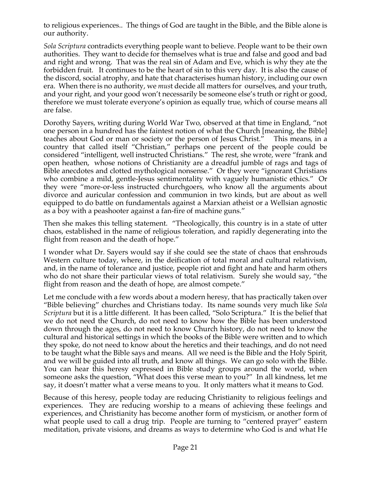to religious experiences.. The things of God are taught in the Bible, and the Bible alone is our authority.

*Sola Scriptura* contradicts everything people want to believe. People want to be their own authorities. They want to decide for themselves what is true and false and good and bad and right and wrong. That was the real sin of Adam and Eve, which is why they ate the forbidden fruit. It continues to be the heart of sin to this very day. It is also the cause of the discord, social atrophy, and hate that characterises human history, including our own era. When there is no authority, we *mus*t decide all matters for ourselves, and your truth, and your right, and your good won't necessarily be someone else's truth or right or good, therefore we must tolerate everyone's opinion as equally true, which of course means all are false.

Dorothy Sayers, writing during World War Two, observed at that time in England, "not one person in a hundred has the faintest notion of what the Church [meaning, the Bible] teaches about God or man or society or the person of Jesus Christ." This means, in a country that called itself "Christian," perhaps one percent of the people could be considered "intelligent, well instructed Christians." The rest, she wrote, were "frank and open heathen, whose notions of Christianity are a dreadful jumble of rags and tags of Bible anecdotes and clotted mythological nonsense." Or they were "ignorant Christians who combine a mild, gentle-Jesus sentimentality with vaguely humanistic ethics." Or they were "more-or-less instructed churchgoers, who know all the arguments about divorce and auricular confession and communion in two kinds, but are about as well equipped to do battle on fundamentals against a Marxian atheist or a Wellsian agnostic as a boy with a peashooter against a fan-fire of machine guns."

Then she makes this telling statement. "Theologically, this country is in a state of utter chaos, established in the name of religious toleration, and rapidly degenerating into the flight from reason and the death of hope."

I wonder what Dr. Sayers would say if she could see the state of chaos that enshrouds Western culture today, where, in the deification of total moral and cultural relativism, and, in the name of tolerance and justice, people riot and fight and hate and harm others who do not share their particular views of total relativism. Surely she would say, "the flight from reason and the death of hope, are almost compete."

Let me conclude with a few words about a modern heresy, that has practically taken over "Bible believing" churches and Christians today. Its name sounds very much like *Sola Scriptura* but it is a little different. It has been called, "Solo Scriptura." It is the belief that we do not need the Church, do not need to know how the Bible has been understood down through the ages, do not need to know Church history, do not need to know the cultural and historical settings in which the books of the Bible were written and to which they spoke, do not need to know about the heretics and their teachings, and do not need to be taught what the Bible says and means. All we need is the Bible and the Holy Spirit, and we will be guided into all truth, and know all things. We can go solo with the Bible. You can hear this heresy expressed in Bible study groups around the world, when someone asks the question, "What does this verse mean to you?" In all kindness, let me say, it doesn't matter what a verse means to you. It only matters what it means to God.

Because of this heresy, people today are reducing Christianity to religious feelings and experiences. They are reducing worship to a means of achieving these feelings and experiences, and Christianity has become another form of mysticism, or another form of what people used to call a drug trip. People are turning to "centered prayer" eastern meditation, private visions, and dreams as ways to determine who God is and what He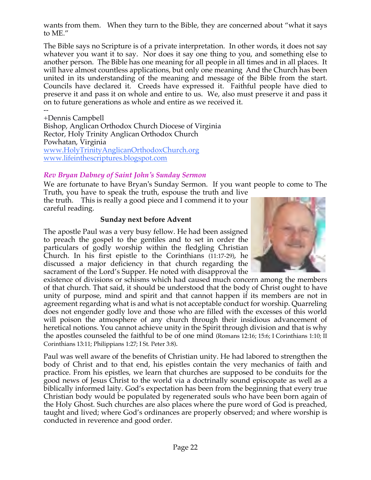wants from them. When they turn to the Bible, they are concerned about "what it says to ME."

The Bible says no Scripture is of a private interpretation. In other words, it does not say whatever you want it to say. Nor does it say one thing to you, and something else to another person. The Bible has one meaning for all people in all times and in all places. It will have almost countless applications, but only one meaning And the Church has been united in its understanding of the meaning and message of the Bible from the start. Councils have declared it. Creeds have expressed it. Faithful people have died to preserve it and pass it on whole and entire to us. We, also must preserve it and pass it on to future generations as whole and entire as we received it.

-- +Dennis Campbell Bishop, Anglican Orthodox Church Diocese of Virginia Rector, Holy Trinity Anglican Orthodox Church Powhatan, Virginia www.HolyTrinityAnglicanOrthodoxChurch.org www.lifeinthescriptures.blogspot.com

## *Rev Bryan Dabney of Saint John's Sunday Sermon*

We are fortunate to have Bryan's Sunday Sermon. If you want people to come to The Truth, you have to speak the truth, espouse the truth and live

the truth. This is really a good piece and I commend it to your careful reading.

#### **Sunday next before Advent**

The apostle Paul was a very busy fellow. He had been assigned to preach the gospel to the gentiles and to set in order the particulars of godly worship within the fledgling Christian Church. In his first epistle to the Corinthians (11:17-29), he discussed a major deficiency in that church regarding the sacrament of the Lord's Supper. He noted with disapproval the



Paul was well aware of the benefits of Christian unity. He had labored to strengthen the body of Christ and to that end, his epistles contain the very mechanics of faith and practice. From his epistles, we learn that churches are supposed to be conduits for the good news of Jesus Christ to the world via a doctrinally sound episcopate as well as a biblically informed laity. God's expectation has been from the beginning that every true Christian body would be populated by regenerated souls who have been born again of the Holy Ghost. Such churches are also places where the pure word of God is preached, taught and lived; where God's ordinances are properly observed; and where worship is conducted in reverence and good order.

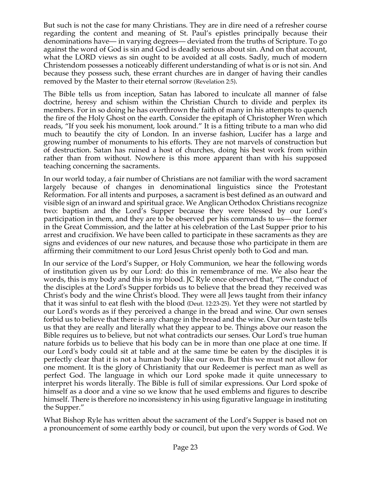But such is not the case for many Christians. They are in dire need of a refresher course regarding the content and meaning of St. Paul's epistles principally because their denominations have— in varying degrees— deviated from the truths of Scripture. To go against the word of God is sin and God is deadly serious about sin. And on that account, what the LORD views as sin ought to be avoided at all costs. Sadly, much of modern Christendom possesses a noticeably different understanding of what is or is not sin. And because they possess such, these errant churches are in danger of having their candles removed by the Master to their eternal sorrow (Revelation 2:5).

The Bible tells us from inception, Satan has labored to inculcate all manner of false doctrine, heresy and schism within the Christian Church to divide and perplex its members. For in so doing he has overthrown the faith of many in his attempts to quench the fire of the Holy Ghost on the earth. Consider the epitaph of Christopher Wren which reads, "If you seek his monument, look around." It is a fitting tribute to a man who did much to beautify the city of London. In an inverse fashion, Lucifer has a large and growing number of monuments to his efforts. They are not marvels of construction but of destruction. Satan has ruined a host of churches, doing his best work from within rather than from without. Nowhere is this more apparent than with his supposed teaching concerning the sacraments.

In our world today, a fair number of Christians are not familiar with the word sacrament largely because of changes in denominational linguistics since the Protestant Reformation. For all intents and purposes, a sacrament is best defined as an outward and visible sign of an inward and spiritual grace. We Anglican Orthodox Christians recognize two: baptism and the Lord's Supper because they were blessed by our Lord's participation in them, and they are to be observed per his commands to us— the former in the Great Commission, and the latter at his celebration of the Last Supper prior to his arrest and crucifixion. We have been called to participate in these sacraments as they are signs and evidences of our new natures, and because those who participate in them are affirming their commitment to our Lord Jesus Christ openly both to God and man.

In our service of the Lord's Supper, or Holy Communion, we hear the following words of institution given us by our Lord: do this in remembrance of me. We also hear the words, this is my body and this is my blood. JC Ryle once observed that, "The conduct of the disciples at the Lord's Supper forbids us to believe that the bread they received was Christ's body and the wine Christ's blood. They were all Jews taught from their infancy that it was sinful to eat flesh with the blood (Deut. 12:23-25). Yet they were not startled by our Lord's words as if they perceived a change in the bread and wine. Our own senses forbid us to believe that there is any change in the bread and the wine. Our own taste tells us that they are really and literally what they appear to be. Things above our reason the Bible requires us to believe, but not what contradicts our senses. Our Lord's true human nature forbids us to believe that his body can be in more than one place at one time. If our Lord's body could sit at table and at the same time be eaten by the disciples it is perfectly clear that it is not a human body like our own. But this we must not allow for one moment. It is the glory of Christianity that our Redeemer is perfect man as well as perfect God. The language in which our Lord spoke made it quite unnecessary to interpret his words literally. The Bible is full of similar expressions. Our Lord spoke of himself as a door and a vine so we know that he used emblems and figures to describe himself. There is therefore no inconsistency in his using figurative language in instituting the Supper."

What Bishop Ryle has written about the sacrament of the Lord's Supper is based not on a pronouncement of some earthly body or council, but upon the very words of God. We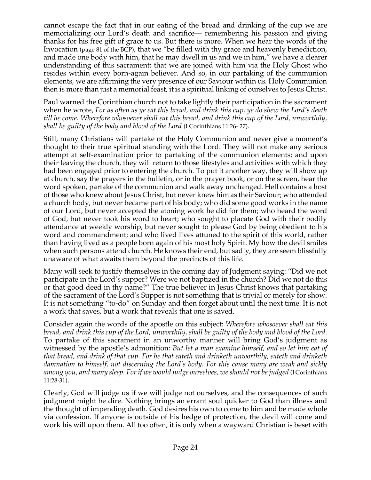cannot escape the fact that in our eating of the bread and drinking of the cup we are memorializing our Lord's death and sacrifice— remembering his passion and giving thanks for his free gift of grace to us. But there is more. When we hear the words of the Invocation (page 81 of the BCP), that we "be filled with thy grace and heavenly benediction, and made one body with him, that he may dwell in us and we in him," we have a clearer understanding of this sacrament: that we are joined with him via the Holy Ghost who resides within every born-again believer. And so, in our partaking of the communion elements, we are affirming the very presence of our Saviour within us. Holy Communion then is more than just a memorial feast, it is a spiritual linking of ourselves to Jesus Christ.

Paul warned the Corinthian church not to take lightly their participation in the sacrament when he wrote, *For as often as ye eat this bread, and drink this cup, ye do shew the Lord's death till he come. Wherefore whosoever shall eat this bread, and drink this cup of the Lord, unworthily, shall be guilty of the body and blood of the Lord* (I Corinthians 11:26- 27).

Still, many Christians will partake of the Holy Communion and never give a moment's thought to their true spiritual standing with the Lord. They will not make any serious attempt at self-examination prior to partaking of the communion elements; and upon their leaving the church, they will return to those lifestyles and activities with which they had been engaged prior to entering the church. To put it another way, they will show up at church, say the prayers in the bulletin, or in the prayer book, or on the screen, hear the word spoken, partake of the communion and walk away unchanged. Hell contains a host of those who knew about Jesus Christ, but never knew him as their Saviour; who attended a church body, but never became part of his body; who did some good works in the name of our Lord, but never accepted the atoning work he did for them; who heard the word of God, but never took his word to heart; who sought to placate God with their bodily attendance at weekly worship, but never sought to please God by being obedient to his word and commandment; and who lived lives attuned to the spirit of this world, rather than having lived as a people born again of his most holy Spirit. My how the devil smiles when such persons attend church. He knows their end, but sadly, they are seem blissfully unaware of what awaits them beyond the precincts of this life.

Many will seek to justify themselves in the coming day of Judgment saying: "Did we not participate in the Lord's supper? Were we not baptized in the church? Did we not do this or that good deed in thy name?" The true believer in Jesus Christ knows that partaking of the sacrament of the Lord's Supper is not something that is trivial or merely for show. It is not something "to-do" on Sunday and then forget about until the next time. It is not a work that saves, but a work that reveals that one is saved.

Consider again the words of the apostle on this subject: *Wherefore whosoever shall eat this bread, and drink this cup of the Lord, unworthily, shall be guilty of the body and blood of the Lord.* To partake of this sacrament in an unworthy manner will bring God's judgment as witnessed by the apostle's admonition: *But let a man examine himself, and so let him eat of that bread, and drink of that cup. For he that eateth and drinketh unworthily, eateth and drinketh damnation to himself, not discerning the Lord's body. For this cause many are weak and sickly among you, and many sleep. For if we would judge ourselves, we should not be judged* (I Corinthians 11:28-31).

Clearly, God will judge us if we will judge not ourselves, and the consequences of such judgment might be dire. Nothing brings an errant soul quicker to God than illness and the thought of impending death. God desires his own to come to him and be made whole via confession. If anyone is outside of his hedge of protection, the devil will come and work his will upon them. All too often, it is only when a wayward Christian is beset with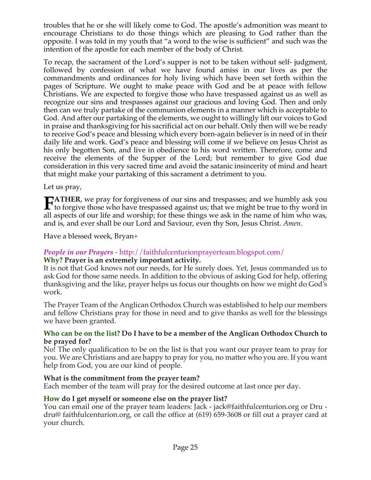troubles that he or she will likely come to God. The apostle's admonition was meant to encourage Christians to do those things which are pleasing to God rather than the opposite. I was told in my youth that "a word to the wise is sufficient" and such was the intention of the apostle for each member of the body of Christ.

To recap, the sacrament of the Lord's supper is not to be taken without self- judgment, followed by confession of what we have found amiss in our lives as per the commandments and ordinances for holy living which have been set forth within the pages of Scripture. We ought to make peace with God and be at peace with fellow Christians. We are expected to forgive those who have trespassed against us as well as recognize our sins and trespasses against our gracious and loving God. Then and only then can we truly partake of the communion elements in a manner which is acceptable to God. And after our partaking of the elements, we ought to willingly lift our voices to God in praise and thanksgiving for his sacrificial act on our behalf. Only then will we be ready to receive God's peace and blessing which every born-again believer is in need of in their daily life and work. God's peace and blessing will come if we believe on Jesus Christ as his only begotten Son, and live in obedience to his word written. Therefore, come and receive the elements of the Supper of the Lord; but remember to give God due consideration in this very sacred time and avoid the satanic insincerity of mind and heart that might make your partaking of this sacrament a detriment to you.

Let us pray,

**ATHER**, we pray for forgiveness of our sins and trespasses; and we humbly ask you **the formulation** Factor for the tree passed against us; that we might be true to thy word in all against the formulation of any dependence of the second in the second of the second second in the second of the second of th all aspects of our life and worship; for these things we ask in the name of him who was, and is, and ever shall be our Lord and Saviour, even thy Son, Jesus Christ. *Amen*.

Have a blessed week, Bryan+

## *People in our Prayers* - http://faithfulcenturionprayerteam.blogspot.com/

## **Why? Prayer is an extremely important activity.**

It is not that God knows not our needs, for He surely does. Yet, Jesus commanded us to ask God for those same needs. In addition to the obvious of asking God for help, offering thanksgiving and the like, prayer helps us focus our thoughts on how we might do God's work.

The Prayer Team of the Anglican Orthodox Church was established to help our members and fellow Christians pray for those in need and to give thanks as well for the blessings we have been granted.

#### **Who can be on the list? Do I have to be a member of the Anglican Orthodox Church to be prayed for?**

No! The only qualification to be on the list is that you want our prayer team to pray for you. We are Christians and are happy to pray for you, no matter who you are. If you want help from God, you are our kind of people.

## **What is the commitment from the prayer team?**

Each member of the team will pray for the desired outcome at last once per day.

## **How do I get myself or someone else on the prayer list?**

You can email one of the prayer team leaders: Jack - jack@faithfulcenturion.org or Dru dru@ faithfulcenturion.org, or call the office at (619) 659-3608 or fill out a prayer card at your church.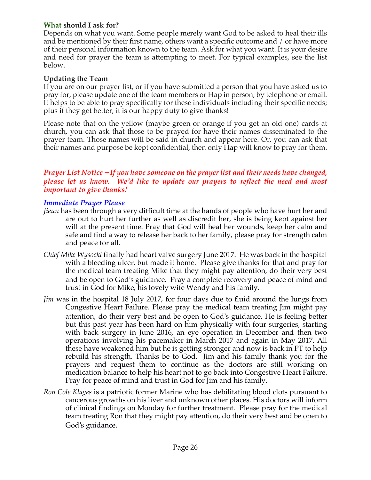## **What should I ask for?**

Depends on what you want. Some people merely want God to be asked to heal their ills and be mentioned by their first name, others want a specific outcome and / or have more of their personal information known to the team. Ask for what you want. It is your desire and need for prayer the team is attempting to meet. For typical examples, see the list below.

#### **Updating the Team**

If you are on our prayer list, or if you have submitted a person that you have asked us to pray for, please update one of the team members or Hap in person, by telephone or email. It helps to be able to pray specifically for these individuals including their specific needs; plus if they get better, it is our happy duty to give thanks!

Please note that on the yellow (maybe green or orange if you get an old one) cards at church, you can ask that those to be prayed for have their names disseminated to the prayer team. Those names will be said in church and appear here. Or, you can ask that their names and purpose be kept confidential, then only Hap will know to pray for them.

## *Prayer List Notice – If you have someone on the prayer list and their needs have changed, please let us know. We'd like to update our prayers to reflect the need and most important to give thanks!*

#### *Immediate Prayer Please*

- *Jieun* has been through a very difficult time at the hands of people who have hurt her and are out to hurt her further as well as discredit her, she is being kept against her will at the present time. Pray that God will heal her wounds, keep her calm and safe and find a way to release her back to her family, please pray for strength calm and peace for all.
- *Chief Mike Wysocki* finally had heart valve surgery June 2017. He was back in the hospital with a bleeding ulcer, but made it home. Please give thanks for that and pray for the medical team treating Mike that they might pay attention, do their very best and be open to God's guidance. Pray a complete recovery and peace of mind and trust in God for Mike, his lovely wife Wendy and his family.
- *Jim* was in the hospital 18 July 2017, for four days due to fluid around the lungs from Congestive Heart Failure. Please pray the medical team treating Jim might pay attention, do their very best and be open to God's guidance. He is feeling better but this past year has been hard on him physically with four surgeries, starting with back surgery in June 2016, an eye operation in December and then two operations involving his pacemaker in March 2017 and again in May 2017. All these have weakened him but he is getting stronger and now is back in PT to help rebuild his strength. Thanks be to God. Jim and his family thank you for the prayers and request them to continue as the doctors are still working on medication balance to help his heart not to go back into Congestive Heart Failure. Pray for peace of mind and trust in God for Jim and his family.
- *Ron Cole Klages* is a patriotic former Marine who has debilitating blood clots pursuant to cancerous growths on his liver and unknown other places. His doctors will inform of clinical findings on Monday for further treatment. Please pray for the medical team treating Ron that they might pay attention, do their very best and be open to God's guidance.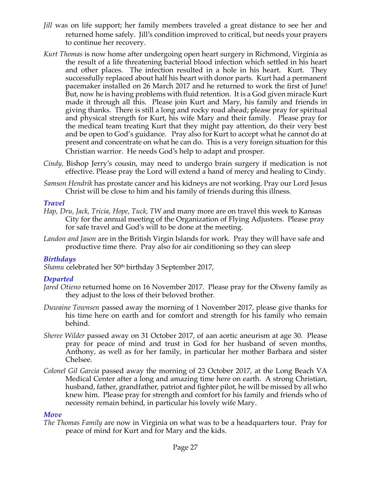- *Jill* was on life support; her family members traveled a great distance to see her and returned home safely. Jill's condition improved to critical, but needs your prayers to continue her recovery.
- *Kurt Thomas* is now home after undergoing open heart surgery in Richmond, Virginia as the result of a life threatening bacterial blood infection which settled in his heart and other places. The infection resulted in a hole in his heart. Kurt. They successfully replaced about half his heart with donor parts. Kurt had a permanent pacemaker installed on 26 March 2017 and he returned to work the first of June! But, now he is having problems with fluid retention. It is a God given miracle Kurt made it through all this. Please join Kurt and Mary, his family and friends in giving thanks. There is still a long and rocky road ahead; please pray for spiritual and physical strength for Kurt, his wife Mary and their family. Please pray for the medical team treating Kurt that they might pay attention, do their very best and be open to God's guidance. Pray also for Kurt to accept what he cannot do at present and concentrate on what he can do. This is a very foreign situation for this Christian warrior. He needs God's help to adapt and prosper.
- *Cindy,* Bishop Jerry's cousin, may need to undergo brain surgery if medication is not effective. Please pray the Lord will extend a hand of mercy and healing to Cindy.
- *Samson Hendrik* has prostate cancer and his kidneys are not working. Pray our Lord Jesus Christ will be close to him and his family of friends during this illness.

#### *Travel*

- *Hap, Dru, Jack, Tricia, Hope, Tuck, TW* and many more are on travel this week to Kansas City for the annual meeting of the Organization of Flying Adjusters. Please pray for safe travel and God's will to be done at the meeting.
- *Landon and Jason* are in the British Virgin Islands for work. Pray they will have safe and productive time there. Pray also for air conditioning so they can sleep

## *Birthdays*

Shamu celebrated her 50<sup>th</sup> birthday 3 September 2017,

## *Departed*

- *Jared Otieno* returned home on 16 November 2017. Please pray for the Olweny family as they adjust to the loss of their beloved brother*.*
- *Duwaine Townsen* passed away the morning of 1 November 2017, please give thanks for his time here on earth and for comfort and strength for his family who remain behind.
- *Sheree Wilder* passed away on 31 October 2017, of aan aortic aneurism at age 30. Please pray for peace of mind and trust in God for her husband of seven months, Anthony, as well as for her family, in particular her mother Barbara and sister Chelsee.
- *Colonel Gil Garcia* passed away the morning of 23 October 2017, at the Long Beach VA Medical Center after a long and amazing time here on earth. A strong Christian, husband, father, grandfather, patriot and fighter pilot, he will be missed by all who knew him. Please pray for strength and comfort for his family and friends who of necessity remain behind, in particular his lovely wife Mary.

#### *Move*

*The Thomas Family* are now in Virginia on what was to be a headquarters tour. Pray for peace of mind for Kurt and for Mary and the kids.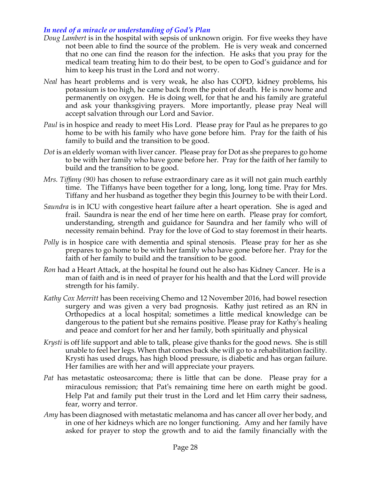## *In need of a miracle or understanding of God's Plan*

- *Doug Lambert* is in the hospital with sepsis of unknown origin. For five weeks they have not been able to find the source of the problem. He is very weak and concerned that no one can find the reason for the infection. He asks that you pray for the medical team treating him to do their best, to be open to God's guidance and for him to keep his trust in the Lord and not worry.
- *Neal* has heart problems and is very weak, he also has COPD, kidney problems, his potassium is too high, he came back from the point of death. He is now home and permanently on oxygen. He is doing well, for that he and his family are grateful and ask your thanksgiving prayers. More importantly, please pray Neal will accept salvation through our Lord and Savior.
- *Paul* is in hospice and ready to meet His Lord. Please pray for Paul as he prepares to go home to be with his family who have gone before him. Pray for the faith of his family to build and the transition to be good.
- *Dot* is an elderly woman with liver cancer. Please pray for Dot as she prepares to go home to be with her family who have gone before her. Pray for the faith of her family to build and the transition to be good.
- *Mrs. Tiffany (90)* has chosen to refuse extraordinary care as it will not gain much earthly time. The Tiffanys have been together for a long, long, long time. Pray for Mrs. Tiffany and her husband as together they begin this Journey to be with their Lord.
- *Saundra* is in ICU with congestive heart failure after a heart operation. She is aged and frail. Saundra is near the end of her time here on earth. Please pray for comfort, understanding, strength and guidance for Saundra and her family who will of necessity remain behind. Pray for the love of God to stay foremost in their hearts.
- *Polly* is in hospice care with dementia and spinal stenosis. Please pray for her as she prepares to go home to be with her family who have gone before her. Pray for the faith of her family to build and the transition to be good.
- *Ron* had a Heart Attack, at the hospital he found out he also has Kidney Cancer. He is a man of faith and is in need of prayer for his health and that the Lord will provide strength for his family.
- *Kathy Cox Merritt* has been receiving Chemo and 12 November 2016, had bowel resection surgery and was given a very bad prognosis. Kathy just retired as an RN in Orthopedics at a local hospital; sometimes a little medical knowledge can be dangerous to the patient but she remains positive. Please pray for Kathy's healing and peace and comfort for her and her family, both spiritually and physical
- *Krysti* is off life support and able to talk, please give thanks for the good news. She is still unable to feel her legs. When that comes back she will go to a rehabilitation facility. Krysti has used drugs, has high blood pressure, is diabetic and has organ failure. Her families are with her and will appreciate your prayers.
- *Pat* has metastatic osteosarcoma; there is little that can be done. Please pray for a miraculous remission; that Pat's remaining time here on earth might be good. Help Pat and family put their trust in the Lord and let Him carry their sadness, fear, worry and terror.
- *Amy* has been diagnosed with metastatic melanoma and has cancer all over her body, and in one of her kidneys which are no longer functioning. Amy and her family have asked for prayer to stop the growth and to aid the family financially with the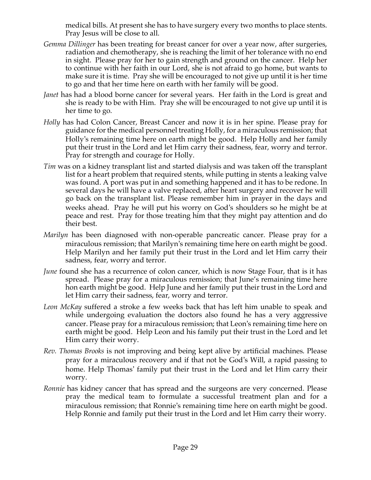medical bills. At present she has to have surgery every two months to place stents. Pray Jesus will be close to all.

- *Gemma Dillinger* has been treating for breast cancer for over a year now, after surgeries, radiation and chemotherapy, she is reaching the limit of her tolerance with no end in sight. Please pray for her to gain strength and ground on the cancer. Help her to continue with her faith in our Lord, she is not afraid to go home, but wants to make sure it is time. Pray she will be encouraged to not give up until it is her time to go and that her time here on earth with her family will be good.
- *Janet* has had a blood borne cancer for several years. Her faith in the Lord is great and she is ready to be with Him. Pray she will be encouraged to not give up until it is her time to go.
- *Holly* has had Colon Cancer, Breast Cancer and now it is in her spine. Please pray for guidance for the medical personnel treating Holly, for a miraculous remission; that Holly's remaining time here on earth might be good. Help Holly and her family put their trust in the Lord and let Him carry their sadness, fear, worry and terror. Pray for strength and courage for Holly.
- *Tim* was on a kidney transplant list and started dialysis and was taken off the transplant list for a heart problem that required stents, while putting in stents a leaking valve was found. A port was put in and something happened and it has to be redone. In several days he will have a valve replaced, after heart surgery and recover he will go back on the transplant list. Please remember him in prayer in the days and weeks ahead. Pray he will put his worry on God's shoulders so he might be at peace and rest. Pray for those treating him that they might pay attention and do their best.
- *Marilyn* has been diagnosed with non-operable pancreatic cancer. Please pray for a miraculous remission; that Marilyn's remaining time here on earth might be good. Help Marilyn and her family put their trust in the Lord and let Him carry their sadness, fear, worry and terror.
- *June* found she has a recurrence of colon cancer, which is now Stage Four, that is it has spread. Please pray for a miraculous remission; that June's remaining time here hon earth might be good. Help June and her family put their trust in the Lord and let Him carry their sadness, fear, worry and terror.
- *Leon McKay* suffered a stroke a few weeks back that has left him unable to speak and while undergoing evaluation the doctors also found he has a very aggressive cancer. Please pray for a miraculous remission; that Leon's remaining time here on earth might be good. Help Leon and his family put their trust in the Lord and let Him carry their worry.
- *Rev. Thomas Brooks* is not improving and being kept alive by artificial machines. Please pray for a miraculous recovery and if that not be God's Will, a rapid passing to home. Help Thomas' family put their trust in the Lord and let Him carry their worry.
- *Ronnie* has kidney cancer that has spread and the surgeons are very concerned. Please pray the medical team to formulate a successful treatment plan and for a miraculous remission; that Ronnie's remaining time here on earth might be good. Help Ronnie and family put their trust in the Lord and let Him carry their worry.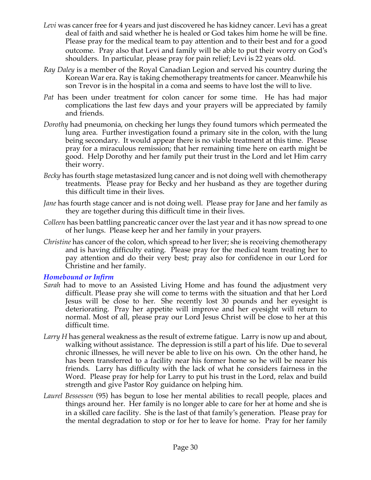- Levi was cancer free for 4 years and just discovered he has kidney cancer. Levi has a great deal of faith and said whether he is healed or God takes him home he will be fine. Please pray for the medical team to pay attention and to their best and for a good outcome. Pray also that Levi and family will be able to put their worry on God's shoulders. In particular, please pray for pain relief; Levi is 22 years old.
- *Ray Daley* is a member of the Royal Canadian Legion and served his country during the Korean War era. Ray is taking chemotherapy treatments for cancer. Meanwhile his son Trevor is in the hospital in a coma and seems to have lost the will to live.
- *Pat* has been under treatment for colon cancer for some time. He has had major complications the last few days and your prayers will be appreciated by family and friends.
- *Dorothy* had pneumonia, on checking her lungs they found tumors which permeated the lung area. Further investigation found a primary site in the colon, with the lung being secondary. It would appear there is no viable treatment at this time. Please pray for a miraculous remission; that her remaining time here on earth might be good. Help Dorothy and her family put their trust in the Lord and let Him carry their worry.
- *Becky* has fourth stage metastasized lung cancer and is not doing well with chemotherapy treatments. Please pray for Becky and her husband as they are together during this difficult time in their lives.
- *Jane* has fourth stage cancer and is not doing well. Please pray for Jane and her family as they are together during this difficult time in their lives.
- *Colleen* has been battling pancreatic cancer over the last year and it has now spread to one of her lungs. Please keep her and her family in your prayers.
- *Christine* has cancer of the colon, which spread to her liver; she is receiving chemotherapy and is having difficulty eating. Please pray for the medical team treating her to pay attention and do their very best; pray also for confidence in our Lord for Christine and her family.

#### *Homebound or Infirm*

- *Sarah* had to move to an Assisted Living Home and has found the adjustment very difficult. Please pray she will come to terms with the situation and that her Lord Jesus will be close to her. She recently lost 30 pounds and her eyesight is deteriorating. Pray her appetite will improve and her eyesight will return to normal. Most of all, please pray our Lord Jesus Christ will be close to her at this difficult time.
- *Larry H* has general weakness as the result of extreme fatigue. Larry is now up and about, walking without assistance. The depression is still a part of his life. Due to several chronic illnesses, he will never be able to live on his own. On the other hand, he has been transferred to a facility near his former home so he will be nearer his friends. Larry has difficulty with the lack of what he considers fairness in the Word. Please pray for help for Larry to put his trust in the Lord, relax and build strength and give Pastor Roy guidance on helping him.
- *Laurel Bessessen* (95) has begun to lose her mental abilities to recall people, places and things around her. Her family is no longer able to care for her at home and she is in a skilled care facility. She is the last of that family's generation. Please pray for the mental degradation to stop or for her to leave for home. Pray for her family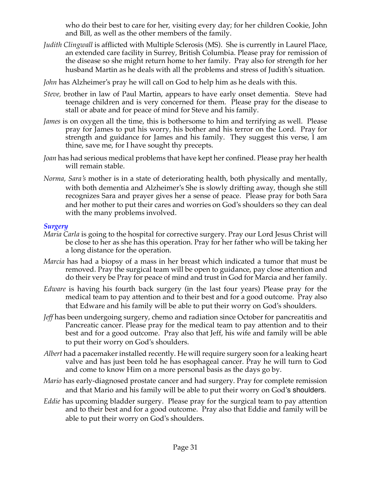who do their best to care for her, visiting every day; for her children Cookie, John and Bill, as well as the other members of the family.

- *Judith Clingwall* is afflicted with Multiple Sclerosis (MS). She is currently in Laurel Place, an extended care facility in Surrey, British Columbia. Please pray for remission of the disease so she might return home to her family. Pray also for strength for her husband Martin as he deals with all the problems and stress of Judith's situation.
- *John* has Alzheimer's pray he will call on God to help him as he deals with this.
- *Steve,* brother in law of Paul Martin, appears to have early onset dementia. Steve had teenage children and is very concerned for them. Please pray for the disease to stall or abate and for peace of mind for Steve and his family.
- *James* is on oxygen all the time, this is bothersome to him and terrifying as well. Please pray for James to put his worry, his bother and his terror on the Lord. Pray for strength and guidance for James and his family. They suggest this verse, I am thine, save me, for I have sought thy precepts.
- *Joan* has had serious medical problems that have kept her confined. Please pray her health will remain stable.
- *Norma, Sara's* mother is in a state of deteriorating health, both physically and mentally, with both dementia and Alzheimer's She is slowly drifting away, though she still recognizes Sara and prayer gives her a sense of peace. Please pray for both Sara and her mother to put their cares and worries on God's shoulders so they can deal with the many problems involved.

#### *Surgery*

- *Maria Carla* is going to the hospital for corrective surgery. Pray our Lord Jesus Christ will be close to her as she has this operation. Pray for her father who will be taking her a long distance for the operation.
- *Marcia* has had a biopsy of a mass in her breast which indicated a tumor that must be removed. Pray the surgical team will be open to guidance, pay close attention and do their very be Pray for peace of mind and trust in God for Marcia and her family.
- *Edware* is having his fourth back surgery (in the last four years) Please pray for the medical team to pay attention and to their best and for a good outcome. Pray also that Edware and his family will be able to put their worry on God's shoulders.
- *Jeff* has been undergoing surgery, chemo and radiation since October for pancreatitis and Pancreatic cancer. Please pray for the medical team to pay attention and to their best and for a good outcome. Pray also that Jeff, his wife and family will be able to put their worry on God's shoulders.
- *Albert* had a pacemaker installed recently. He will require surgery soon for a leaking heart valve and has just been told he has esophageal cancer. Pray he will turn to God and come to know Him on a more personal basis as the days go by.
- *Mario* has early-diagnosed prostate cancer and had surgery. Pray for complete remission and that Mario and his family will be able to put their worry on God's shoulders.
- *Eddie* has upcoming bladder surgery. Please pray for the surgical team to pay attention and to their best and for a good outcome. Pray also that Eddie and family will be able to put their worry on God's shoulders.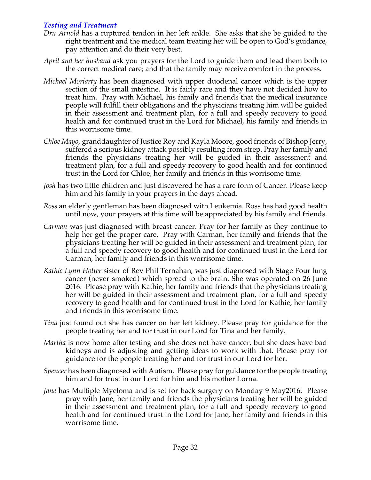## *Testing and Treatment*

- *Dru Arnold* has a ruptured tendon in her left ankle. She asks that she be guided to the right treatment and the medical team treating her will be open to God's guidance, pay attention and do their very best.
- *April and her husband* ask you prayers for the Lord to guide them and lead them both to the correct medical care; and that the family may receive comfort in the process.
- *Michael Moriarty* has been diagnosed with upper duodenal cancer which is the upper section of the small intestine. It is fairly rare and they have not decided how to treat him. Pray with Michael, his family and friends that the medical insurance people will fulfill their obligations and the physicians treating him will be guided in their assessment and treatment plan, for a full and speedy recovery to good health and for continued trust in the Lord for Michael, his family and friends in this worrisome time.
- *Chloe Mayo*, granddaughter of Justice Roy and Kayla Moore, good friends of Bishop Jerry, suffered a serious kidney attack possibly resulting from strep. Pray her family and friends the physicians treating her will be guided in their assessment and treatment plan, for a full and speedy recovery to good health and for continued trust in the Lord for Chloe, her family and friends in this worrisome time.
- *Josh* has two little children and just discovered he has a rare form of Cancer. Please keep him and his family in your prayers in the days ahead.
- *Ross* an elderly gentleman has been diagnosed with Leukemia. Ross has had good health until now, your prayers at this time will be appreciated by his family and friends.
- *Carman* was just diagnosed with breast cancer. Pray for her family as they continue to help her get the proper care. Pray with Carman, her family and friends that the physicians treating her will be guided in their assessment and treatment plan, for a full and speedy recovery to good health and for continued trust in the Lord for Carman, her family and friends in this worrisome time.
- *Kathie Lynn Holter* sister of Rev Phil Ternahan, was just diagnosed with Stage Four lung cancer (never smoked) which spread to the brain. She was operated on 26 June 2016. Please pray with Kathie, her family and friends that the physicians treating her will be guided in their assessment and treatment plan, for a full and speedy recovery to good health and for continued trust in the Lord for Kathie, her family and friends in this worrisome time.
- *Tina* just found out she has cancer on her left kidney. Please pray for guidance for the people treating her and for trust in our Lord for Tina and her family.
- *Martha* is now home after testing and she does not have cancer, but she does have bad kidneys and is adjusting and getting ideas to work with that. Please pray for guidance for the people treating her and for trust in our Lord for her.
- *Spencer* has been diagnosed with Autism. Please pray for guidance for the people treating him and for trust in our Lord for him and his mother Lorna.
- *Jane* has Multiple Myeloma and is set for back surgery on Monday 9 May2016. Please pray with Jane, her family and friends the physicians treating her will be guided in their assessment and treatment plan, for a full and speedy recovery to good health and for continued trust in the Lord for Jane, her family and friends in this worrisome time.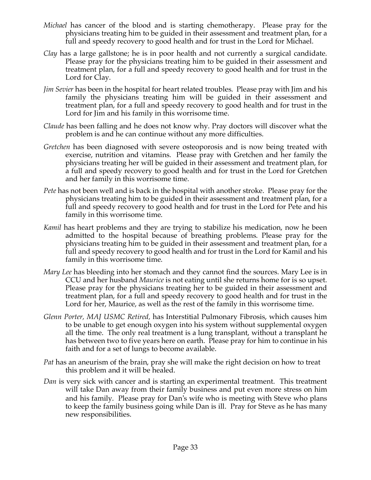- *Michael* has cancer of the blood and is starting chemotherapy. Please pray for the physicians treating him to be guided in their assessment and treatment plan, for a full and speedy recovery to good health and for trust in the Lord for Michael.
- *Clay* has a large gallstone; he is in poor health and not currently a surgical candidate. Please pray for the physicians treating him to be guided in their assessment and treatment plan, for a full and speedy recovery to good health and for trust in the Lord for Clay.
- *Jim Sevier* has been in the hospital for heart related troubles. Please pray with Jim and his family the physicians treating him will be guided in their assessment and treatment plan, for a full and speedy recovery to good health and for trust in the Lord for Jim and his family in this worrisome time.
- *Claude* has been falling and he does not know why. Pray doctors will discover what the problem is and he can continue without any more difficulties.
- *Gretchen* has been diagnosed with severe osteoporosis and is now being treated with exercise, nutrition and vitamins. Please pray with Gretchen and her family the physicians treating her will be guided in their assessment and treatment plan, for a full and speedy recovery to good health and for trust in the Lord for Gretchen and her family in this worrisome time.
- *Pete* has not been well and is back in the hospital with another stroke. Please pray for the physicians treating him to be guided in their assessment and treatment plan, for a full and speedy recovery to good health and for trust in the Lord for Pete and his family in this worrisome time.
- *Kamil* has heart problems and they are trying to stabilize his medication, now he been admitted to the hospital because of breathing problems. Please pray for the physicians treating him to be guided in their assessment and treatment plan, for a full and speedy recovery to good health and for trust in the Lord for Kamil and his family in this worrisome time.
- *Mary Lee* has bleeding into her stomach and they cannot find the sources. Mary Lee is in CCU and her husband *Maurice* is not eating until she returns home for is so upset. Please pray for the physicians treating her to be guided in their assessment and treatment plan, for a full and speedy recovery to good health and for trust in the Lord for her, Maurice, as well as the rest of the family in this worrisome time.
- *Glenn Porter, MAJ USMC Retired,* has Interstitial Pulmonary Fibrosis, which causes him to be unable to get enough oxygen into his system without supplemental oxygen all the time. The only real treatment is a lung transplant, without a transplant he has between two to five years here on earth. Please pray for him to continue in his faith and for a set of lungs to become available.
- *Pat* has an aneurism of the brain, pray she will make the right decision on how to treat this problem and it will be healed.
- *Dan* is very sick with cancer and is starting an experimental treatment. This treatment will take Dan away from their family business and put even more stress on him and his family. Please pray for Dan's wife who is meeting with Steve who plans to keep the family business going while Dan is ill. Pray for Steve as he has many new responsibilities.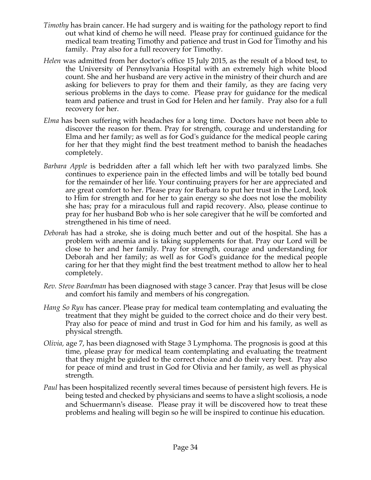- *Timothy* has brain cancer. He had surgery and is waiting for the pathology report to find out what kind of chemo he will need. Please pray for continued guidance for the medical team treating Timothy and patience and trust in God for Timothy and his family. Pray also for a full recovery for Timothy.
- *Helen* was admitted from her doctor's office 15 July 2015, as the result of a blood test, to the University of Pennsylvania Hospital with an extremely high white blood count. She and her husband are very active in the ministry of their church and are asking for believers to pray for them and their family, as they are facing very serious problems in the days to come. Please pray for guidance for the medical team and patience and trust in God for Helen and her family. Pray also for a full recovery for her.
- *Elma* has been suffering with headaches for a long time. Doctors have not been able to discover the reason for them. Pray for strength, courage and understanding for Elma and her family; as well as for God's guidance for the medical people caring for her that they might find the best treatment method to banish the headaches completely.
- *Barbara Apple* is bedridden after a fall which left her with two paralyzed limbs. She continues to experience pain in the effected limbs and will be totally bed bound for the remainder of her life. Your continuing prayers for her are appreciated and are great comfort to her. Please pray for Barbara to put her trust in the Lord, look to Him for strength and for her to gain energy so she does not lose the mobility she has; pray for a miraculous full and rapid recovery. Also, please continue to pray for her husband Bob who is her sole caregiver that he will be comforted and strengthened in his time of need.
- *Deborah* has had a stroke, she is doing much better and out of the hospital. She has a problem with anemia and is taking supplements for that. Pray our Lord will be close to her and her family. Pray for strength, courage and understanding for Deborah and her family; as well as for God's guidance for the medical people caring for her that they might find the best treatment method to allow her to heal completely.
- *Rev. Steve Boardman* has been diagnosed with stage 3 cancer. Pray that Jesus will be close and comfort his family and members of his congregation*.*
- *Hang So Ryu* has cancer. Please pray for medical team contemplating and evaluating the treatment that they might be guided to the correct choice and do their very best. Pray also for peace of mind and trust in God for him and his family, as well as physical strength.
- *Olivia,* age 7, has been diagnosed with Stage 3 Lymphoma. The prognosis is good at this time, please pray for medical team contemplating and evaluating the treatment that they might be guided to the correct choice and do their very best. Pray also for peace of mind and trust in God for Olivia and her family, as well as physical strength.
- *Paul* has been hospitalized recently several times because of persistent high fevers. He is being tested and checked by physicians and seems to have a slight scoliosis, a node and Schuermann's disease. Please pray it will be discovered how to treat these problems and healing will begin so he will be inspired to continue his education.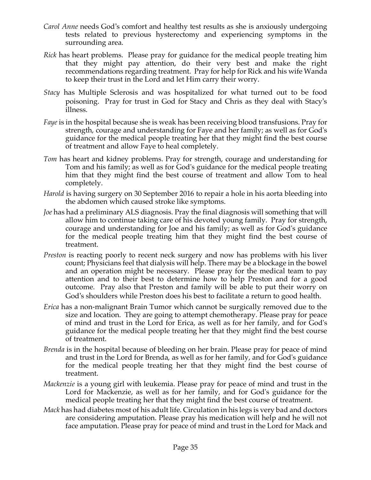- *Carol Anne* needs God's comfort and healthy test results as she is anxiously undergoing tests related to previous hysterectomy and experiencing symptoms in the surrounding area.
- *Rick* has heart problems. Please pray for guidance for the medical people treating him that they might pay attention, do their very best and make the right recommendations regarding treatment. Pray for help for Rick and his wife Wanda to keep their trust in the Lord and let Him carry their worry.
- *Stacy* has Multiple Sclerosis and was hospitalized for what turned out to be food poisoning. Pray for trust in God for Stacy and Chris as they deal with Stacy's illness.
- *Faye* is in the hospital because she is weak has been receiving blood transfusions. Pray for strength, courage and understanding for Faye and her family; as well as for God's guidance for the medical people treating her that they might find the best course of treatment and allow Faye to heal completely.
- *Tom* has heart and kidney problems. Pray for strength, courage and understanding for Tom and his family; as well as for God's guidance for the medical people treating him that they might find the best course of treatment and allow Tom to heal completely.
- *Harold* is having surgery on 30 September 2016 to repair a hole in his aorta bleeding into the abdomen which caused stroke like symptoms.
- *Joe* has had a preliminary ALS diagnosis. Pray the final diagnosis will something that will allow him to continue taking care of his devoted young family. Pray for strength, courage and understanding for Joe and his family; as well as for God's guidance for the medical people treating him that they might find the best course of treatment.
- *Preston* is reacting poorly to recent neck surgery and now has problems with his liver count; Physicians feel that dialysis will help. There may be a blockage in the bowel and an operation might be necessary. Please pray for the medical team to pay attention and to their best to determine how to help Preston and for a good outcome. Pray also that Preston and family will be able to put their worry on God's shoulders while Preston does his best to facilitate a return to good health.
- *Erica* has a non-malignant Brain Tumor which cannot be surgically removed due to the size and location. They are going to attempt chemotherapy. Please pray for peace of mind and trust in the Lord for Erica, as well as for her family, and for God's guidance for the medical people treating her that they might find the best course of treatment.
- *Brenda* is in the hospital because of bleeding on her brain. Please pray for peace of mind and trust in the Lord for Brenda, as well as for her family, and for God's guidance for the medical people treating her that they might find the best course of treatment.
- *Mackenzie* is a young girl with leukemia. Please pray for peace of mind and trust in the Lord for Mackenzie, as well as for her family, and for God's guidance for the medical people treating her that they might find the best course of treatment.
- *Mack* has had diabetes most of his adult life. Circulation in his legs is very bad and doctors are considering amputation. Please pray his medication will help and he will not face amputation. Please pray for peace of mind and trust in the Lord for Mack and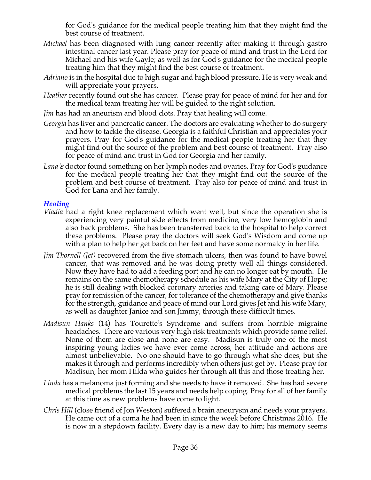for God's guidance for the medical people treating him that they might find the best course of treatment.

- *Michael* has been diagnosed with lung cancer recently after making it through gastro intestinal cancer last year. Please pray for peace of mind and trust in the Lord for Michael and his wife Gayle; as well as for God's guidance for the medical people treating him that they might find the best course of treatment.
- *Adriano* is in the hospital due to high sugar and high blood pressure. He is very weak and will appreciate your prayers.
- *Heather* recently found out she has cancer. Please pray for peace of mind for her and for the medical team treating her will be guided to the right solution.
- *Jim* has had an aneurism and blood clots. Pray that healing will come.
- *Georgia* has liver and pancreatic cancer. The doctors are evaluating whether to do surgery and how to tackle the disease. Georgia is a faithful Christian and appreciates your prayers. Pray for God's guidance for the medical people treating her that they might find out the source of the problem and best course of treatment. Pray also for peace of mind and trust in God for Georgia and her family.
- *Lana's* doctor found something on her lymph nodes and ovaries. Pray for God's guidance for the medical people treating her that they might find out the source of the problem and best course of treatment. Pray also for peace of mind and trust in God for Lana and her family.

## *Healing*

- *Vladia* had a right knee replacement which went well, but since the operation she is experiencing very painful side effects from medicine, very low hemoglobin and also back problems. She has been transferred back to the hospital to help correct these problems. Please pray the doctors will seek God's Wisdom and come up with a plan to help her get back on her feet and have some normalcy in her life.
- *Jim Thornell (Jet)* recovered from the five stomach ulcers, then was found to have bowel cancer, that was removed and he was doing pretty well all things considered. Now they have had to add a feeding port and he can no longer eat by mouth. He remains on the same chemotherapy schedule as his wife Mary at the City of Hope; he is still dealing with blocked coronary arteries and taking care of Mary. Please pray for remission of the cancer, for tolerance of the chemotherapy and give thanks for the strength, guidance and peace of mind our Lord gives Jet and his wife Mary, as well as daughter Janice and son Jimmy, through these difficult times.
- *Madisun Hanks* (14) has Tourette's Syndrome and suffers from horrible migraine headaches. There are various very high risk treatments which provide some relief. None of them are close and none are easy. Madisun is truly one of the most inspiring young ladies we have ever come across, her attitude and actions are almost unbelievable. No one should have to go through what she does, but she makes it through and performs incredibly when others just get by. Please pray for Madisun, her mom Hilda who guides her through all this and those treating her.
- *Linda* has a melanoma just forming and she needs to have it removed. She has had severe medical problems the last 15 years and needs help coping. Pray for all of her family at this time as new problems have come to light.
- *Chris Hill* (close friend of Jon Weston) suffered a brain aneurysm and needs your prayers. He came out of a coma he had been in since the week before Christmas 2016. He is now in a stepdown facility. Every day is a new day to him; his memory seems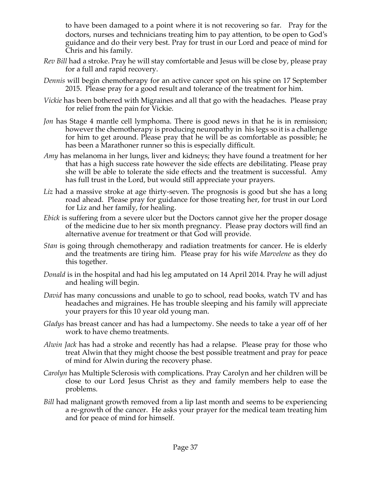to have been damaged to a point where it is not recovering so far. Pray for the doctors, nurses and technicians treating him to pay attention, to be open to God's guidance and do their very best. Pray for trust in our Lord and peace of mind for Chris and his family.

- *Rev Bill* had a stroke. Pray he will stay comfortable and Jesus will be close by, please pray for a full and rapid recovery.
- *Dennis* will begin chemotherapy for an active cancer spot on his spine on 17 September 2015. Please pray for a good result and tolerance of the treatment for him.
- *Vickie* has been bothered with Migraines and all that go with the headaches. Please pray for relief from the pain for Vickie.
- *Jon* has Stage 4 mantle cell lymphoma. There is good news in that he is in remission; however the chemotherapy is producing neuropathy in his legs so it is a challenge for him to get around. Please pray that he will be as comfortable as possible; he has been a Marathoner runner so this is especially difficult.
- *Amy* has melanoma in her lungs, liver and kidneys; they have found a treatment for her that has a high success rate however the side effects are debilitating. Please pray she will be able to tolerate the side effects and the treatment is successful. Amy has full trust in the Lord, but would still appreciate your prayers.
- Liz had a massive stroke at age thirty-seven. The prognosis is good but she has a long road ahead. Please pray for guidance for those treating her, for trust in our Lord for Liz and her family, for healing.
- *Ebick* is suffering from a severe ulcer but the Doctors cannot give her the proper dosage of the medicine due to her six month pregnancy. Please pray doctors will find an alternative avenue for treatment or that God will provide.
- *Stan* is going through chemotherapy and radiation treatments for cancer. He is elderly and the treatments are tiring him. Please pray for his wife *Marvelene* as they do this together.
- *Donald* is in the hospital and had his leg amputated on 14 April 2014. Pray he will adjust and healing will begin.
- *David* has many concussions and unable to go to school, read books, watch TV and has headaches and migraines. He has trouble sleeping and his family will appreciate your prayers for this 10 year old young man.
- *Gladys* has breast cancer and has had a lumpectomy. She needs to take a year off of her work to have chemo treatments.
- *Alwin Jack* has had a stroke and recently has had a relapse. Please pray for those who treat Alwin that they might choose the best possible treatment and pray for peace of mind for Alwin during the recovery phase.
- *Carolyn* has Multiple Sclerosis with complications. Pray Carolyn and her children will be close to our Lord Jesus Christ as they and family members help to ease the problems.
- *Bill* had malignant growth removed from a lip last month and seems to be experiencing a re-growth of the cancer. He asks your prayer for the medical team treating him and for peace of mind for himself.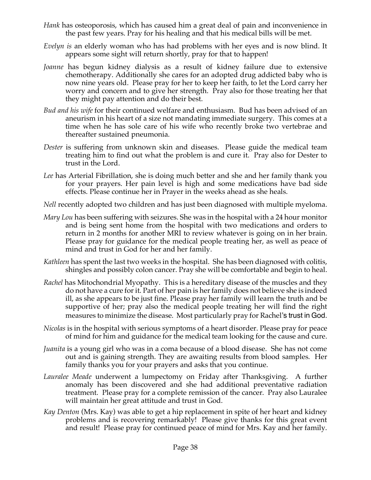- *Hank* has osteoporosis, which has caused him a great deal of pain and inconvenience in the past few years. Pray for his healing and that his medical bills will be met.
- *Evelyn is* an elderly woman who has had problems with her eyes and is now blind. It appears some sight will return shortly, pray for that to happen!
- *Joanne* has begun kidney dialysis as a result of kidney failure due to extensive chemotherapy. Additionally she cares for an adopted drug addicted baby who is now nine years old. Please pray for her to keep her faith, to let the Lord carry her worry and concern and to give her strength. Pray also for those treating her that they might pay attention and do their best.
- *Bud and his wife* for their continued welfare and enthusiasm. Bud has been advised of an aneurism in his heart of a size not mandating immediate surgery. This comes at a time when he has sole care of his wife who recently broke two vertebrae and thereafter sustained pneumonia.
- *Dester* is suffering from unknown skin and diseases. Please guide the medical team treating him to find out what the problem is and cure it. Pray also for Dester to trust in the Lord.
- *Lee* has Arterial Fibrillation, she is doing much better and she and her family thank you for your prayers. Her pain level is high and some medications have bad side effects. Please continue her in Prayer in the weeks ahead as she heals.
- *Nell* recently adopted two children and has just been diagnosed with multiple myeloma.
- *Mary Lou* has been suffering with seizures. She was in the hospital with a 24 hour monitor and is being sent home from the hospital with two medications and orders to return in 2 months for another MRI to review whatever is going on in her brain. Please pray for guidance for the medical people treating her, as well as peace of mind and trust in God for her and her family.
- *Kathleen* has spent the last two weeks in the hospital. She has been diagnosed with colitis, shingles and possibly colon cancer. Pray she will be comfortable and begin to heal.
- *Rachel* has Mitochondrial Myopathy. This is a hereditary disease of the muscles and they do not have a cure for it. Part of her pain is her family does not believe she is indeed ill, as she appears to be just fine. Please pray her family will learn the truth and be supportive of her; pray also the medical people treating her will find the right measures to minimize the disease. Most particularly pray for Rachel's trust in God.
- *Nicolas* is in the hospital with serious symptoms of a heart disorder. Please pray for peace of mind for him and guidance for the medical team looking for the cause and cure.
- *Juanita* is a young girl who was in a coma because of a blood disease. She has not come out and is gaining strength. They are awaiting results from blood samples. Her family thanks you for your prayers and asks that you continue.
- *Lauralee Meade* underwent a lumpectomy on Friday after Thanksgiving. A further anomaly has been discovered and she had additional preventative radiation treatment. Please pray for a complete remission of the cancer. Pray also Lauralee will maintain her great attitude and trust in God.
- *Kay Denton* (Mrs. Kay) was able to get a hip replacement in spite of her heart and kidney problems and is recovering remarkably! Please give thanks for this great event and result! Please pray for continued peace of mind for Mrs. Kay and her family.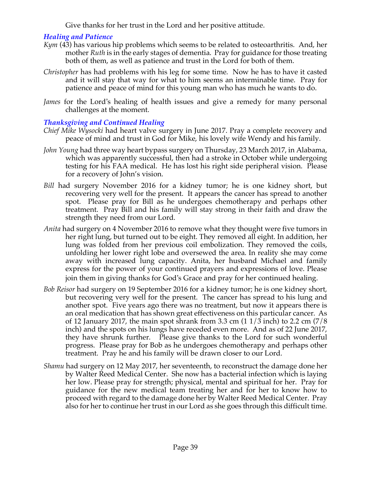Give thanks for her trust in the Lord and her positive attitude.

## *Healing and Patience*

- *Kym* (43) has various hip problems which seems to be related to osteoarthritis. And, her mother *Ruth* is in the early stages of dementia. Pray for guidance for those treating both of them, as well as patience and trust in the Lord for both of them.
- *Christopher* has had problems with his leg for some time. Now he has to have it casted and it will stay that way for what to him seems an interminable time. Pray for patience and peace of mind for this young man who has much he wants to do.
- *James* for the Lord's healing of health issues and give a remedy for many personal challenges at the moment.

## *Thanksgiving and Continued Healing*

- *Chief Mike Wysocki* had heart valve surgery in June 2017. Pray a complete recovery and peace of mind and trust in God for Mike, his lovely wife Wendy and his family.
- *John Young* had three way heart bypass surgery on Thursday, 23 March 2017, in Alabama, which was apparently successful, then had a stroke in October while undergoing testing for his FAA medical. He has lost his right side peripheral vision. Please for a recovery of John's vision.
- *Bill* had surgery November 2016 for a kidney tumor; he is one kidney short, but recovering very well for the present. It appears the cancer has spread to another spot. Please pray for Bill as he undergoes chemotherapy and perhaps other treatment. Pray Bill and his family will stay strong in their faith and draw the strength they need from our Lord.
- *Anita* had surgery on 4 November 2016 to remove what they thought were five tumors in her right lung, but turned out to be eight. They removed all eight. In addition, her lung was folded from her previous coil embolization. They removed the coils, unfolding her lower right lobe and oversewed the area. In reality she may come away with increased lung capacity. Anita, her husband Michael and family express for the power of your continued prayers and expressions of love. Please join them in giving thanks for God's Grace and pray for her continued healing.
- *Bob Reisor* had surgery on 19 September 2016 for a kidney tumor; he is one kidney short, but recovering very well for the present. The cancer has spread to his lung and another spot. Five years ago there was no treatment, but now it appears there is an oral medication that has shown great effectiveness on this particular cancer. As of 12 January 2017, the main spot shrank from 3.3 cm  $(11/3 \text{ inch})$  to 2.2 cm  $(7/8 \text{ ft})$ inch) and the spots on his lungs have receded even more. And as of 22 June 2017, they have shrunk further. Please give thanks to the Lord for such wonderful progress. Please pray for Bob as he undergoes chemotherapy and perhaps other treatment. Pray he and his family will be drawn closer to our Lord.
- *Shamu* had surgery on 12 May 2017, her seventeenth, to reconstruct the damage done her by Walter Reed Medical Center. She now has a bacterial infection which is laying her low. Please pray for strength; physical, mental and spiritual for her. Pray for guidance for the new medical team treating her and for her to know how to proceed with regard to the damage done her by Walter Reed Medical Center. Pray also for her to continue her trust in our Lord as she goes through this difficult time.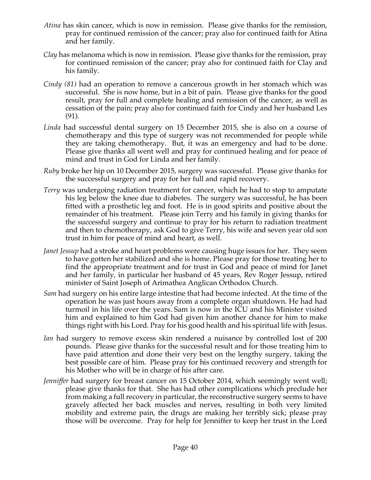- *Atina* has skin cancer, which is now in remission. Please give thanks for the remission, pray for continued remission of the cancer; pray also for continued faith for Atina and her family.
- *Clay* has melanoma which is now in remission. Please give thanks for the remission, pray for continued remission of the cancer; pray also for continued faith for Clay and his family.
- *Cindy (81)* had an operation to remove a cancerous growth in her stomach which was successful. She is now home, but in a bit of pain. Please give thanks for the good result, pray for full and complete healing and remission of the cancer, as well as cessation of the pain; pray also for continued faith for Cindy and her husband Les (91).
- *Linda* had successful dental surgery on 15 December 2015, she is also on a course of chemotherapy and this type of surgery was not recommended for people while they are taking chemotherapy. But, it was an emergency and had to be done. Please give thanks all went well and pray for continued healing and for peace of mind and trust in God for Linda and her family.
- *Ruby* broke her hip on 10 December 2015, surgery was successful. Please give thanks for the successful surgery and pray for her full and rapid recovery.
- *Terry* was undergoing radiation treatment for cancer, which he had to stop to amputate his leg below the knee due to diabetes. The surgery was successful, he has been fitted with a prosthetic leg and foot. He is in good spirits and positive about the remainder of his treatment. Please join Terry and his family in giving thanks for the successful surgery and continue to pray for his return to radiation treatment and then to chemotherapy, ask God to give Terry, his wife and seven year old son trust in him for peace of mind and heart, as well.
- *Janet Jessup* had a stroke and heart problems were causing huge issues for her. They seem to have gotten her stabilized and she is home. Please pray for those treating her to find the appropriate treatment and for trust in God and peace of mind for Janet and her family, in particular her husband of 45 years, Rev Roger Jessup, retired minister of Saint Joseph of Arimathea Anglican Orthodox Church.
- *Sam* had surgery on his entire large intestine that had become infected. At the time of the operation he was just hours away from a complete organ shutdown. He had had turmoil in his life over the years. Sam is now in the ICU and his Minister visited him and explained to him God had given him another chance for him to make things right with his Lord. Pray for his good health and his spiritual life with Jesus.
- *Ian* had surgery to remove excess skin rendered a nuisance by controlled lost of 200 pounds. Please give thanks for the successful result and for those treating him to have paid attention and done their very best on the lengthy surgery, taking the best possible care of him. Please pray for his continued recovery and strength for his Mother who will be in charge of his after care.
- *Jenniffer* had surgery for breast cancer on 15 October 2014, which seemingly went well; please give thanks for that. She has had other complications which preclude her from making a full recovery in particular, the reconstructive surgery seems to have gravely affected her back muscles and nerves, resulting in both very limited mobility and extreme pain, the drugs are making her terribly sick; please pray those will be overcome. Pray for help for Jenniffer to keep her trust in the Lord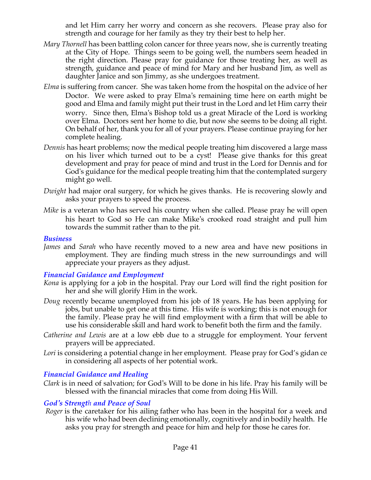and let Him carry her worry and concern as she recovers. Please pray also for strength and courage for her family as they try their best to help her.

- *Mary Thornell* has been battling colon cancer for three years now, she is currently treating at the City of Hope. Things seem to be going well, the numbers seem headed in the right direction. Please pray for guidance for those treating her, as well as strength, guidance and peace of mind for Mary and her husband Jim, as well as daughter Janice and son Jimmy, as she undergoes treatment.
- *Elma* is suffering from cancer. She was taken home from the hospital on the advice of her Doctor. We were asked to pray Elma's remaining time here on earth might be good and Elma and family might put their trust in the Lord and let Him carry their worry. Since then, Elma's Bishop told us a great Miracle of the Lord is working over Elma. Doctors sent her home to die, but now she seems to be doing all right. On behalf of her, thank you for all of your prayers. Please continue praying for her complete healing.
- *Dennis* has heart problems; now the medical people treating him discovered a large mass on his liver which turned out to be a cyst! Please give thanks for this great development and pray for peace of mind and trust in the Lord for Dennis and for God's guidance for the medical people treating him that the contemplated surgery might go well.
- *Dwight* had major oral surgery, for which he gives thanks. He is recovering slowly and asks your prayers to speed the process.
- *Mike* is a veteran who has served his country when she called. Please pray he will open his heart to God so He can make Mike's crooked road straight and pull him towards the summit rather than to the pit.

#### *Business*

*James* and *Sarah* who have recently moved to a new area and have new positions in employment. They are finding much stress in the new surroundings and will appreciate your prayers as they adjust.

## *Financial Guidance and Employment*

- *Kona* is applying for a job in the hospital. Pray our Lord will find the right position for her and she will glorify Him in the work.
- *Doug* recently became unemployed from his job of 18 years. He has been applying for jobs, but unable to get one at this time. His wife is working; this is not enough for the family. Please pray he will find employment with a firm that will be able to use his considerable skill and hard work to benefit both the firm and the family.
- *Catherine and Lewis* are at a low ebb due to a struggle for employment. Your fervent prayers will be appreciated.
- Lori is considering a potential change in her employment. Please pray for God's gidan ce in considering all aspects of her potential work.

## *Financial Guidance and Healing*

*Clark* is in need of salvation; for God's Will to be done in his life. Pray his family will be blessed with the financial miracles that come from doing His Will.

## *God's Strength and Peace of Soul*

*Roger* is the caretaker for his ailing father who has been in the hospital for a week and his wife who had been declining emotionally, cognitively and in bodily health. He asks you pray for strength and peace for him and help for those he cares for.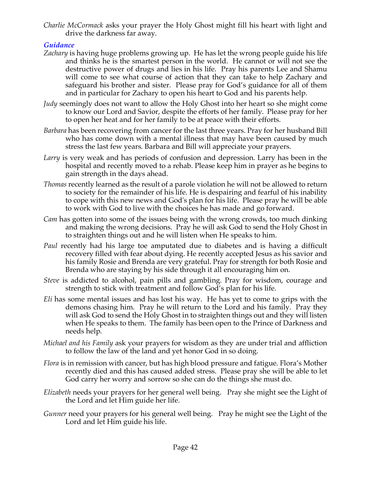*Charlie McCormack* asks your prayer the Holy Ghost might fill his heart with light and drive the darkness far away.

## *Guidance*

- *Zachary* is having huge problems growing up. He has let the wrong people guide his life and thinks he is the smartest person in the world. He cannot or will not see the destructive power of drugs and lies in his life. Pray his parents Lee and Shamu will come to see what course of action that they can take to help Zachary and safeguard his brother and sister. Please pray for God's guidance for all of them and in particular for Zachary to open his heart to God and his parents help.
- *Judy* seemingly does not want to allow the Holy Ghost into her heart so she might come to know our Lord and Savior, despite the efforts of her family. Please pray for her to open her heat and for her family to be at peace with their efforts.
- *Barbara* has been recovering from cancer for the last three years. Pray for her husband Bill who has come down with a mental illness that may have been caused by much stress the last few years. Barbara and Bill will appreciate your prayers.
- *Larry* is very weak and has periods of confusion and depression. Larry has been in the hospital and recently moved to a rehab. Please keep him in prayer as he begins to gain strength in the days ahead.
- *Thomas* recently learned as the result of a parole violation he will not be allowed to return to society for the remainder of his life. He is despairing and fearful of his inability to cope with this new news and God's plan for his life. Please pray he will be able to work with God to live with the choices he has made and go forward.
- *Cam* has gotten into some of the issues being with the wrong crowds, too much dinking and making the wrong decisions. Pray he will ask God to send the Holy Ghost in to straighten things out and he will listen when He speaks to him.
- *Paul* recently had his large toe amputated due to diabetes and is having a difficult recovery filled with fear about dying. He recently accepted Jesus as his savior and his family Rosie and Brenda are very grateful. Pray for strength for both Rosie and Brenda who are staying by his side through it all encouraging him on.
- *Steve* is addicted to alcohol, pain pills and gambling. Pray for wisdom, courage and strength to stick with treatment and follow God's plan for his life.
- *Eli* has some mental issues and has lost his way. He has yet to come to grips with the demons chasing him. Pray he will return to the Lord and his family. Pray they will ask God to send the Holy Ghost in to straighten things out and they will listen when He speaks to them. The family has been open to the Prince of Darkness and needs help.
- *Michael and his Family* ask your prayers for wisdom as they are under trial and affliction to follow the law of the land and yet honor God in so doing.
- *Flora* is in remission with cancer, but has high blood pressure and fatigue. Flora's Mother recently died and this has caused added stress. Please pray she will be able to let God carry her worry and sorrow so she can do the things she must do.
- *Elizabeth* needs your prayers for her general well being. Pray she might see the Light of the Lord and let Him guide her life.
- *Gunner* need your prayers for his general well being. Pray he might see the Light of the Lord and let Him guide his life.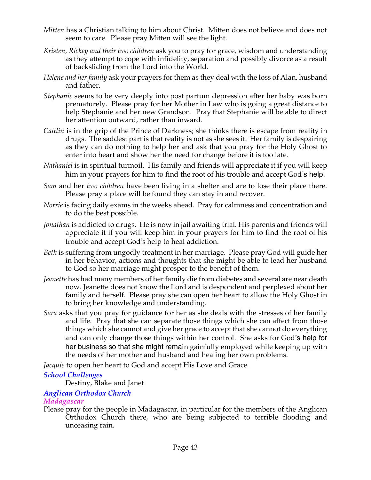- *Mitten* has a Christian talking to him about Christ. Mitten does not believe and does not seem to care. Please pray Mitten will see the light.
- *Kristen, Rickey and their two children* ask you to pray for grace, wisdom and understanding as they attempt to cope with infidelity, separation and possibly divorce as a result of backsliding from the Lord into the World.
- *Helene and her family* ask your prayers for them as they deal with the loss of Alan, husband and father.
- *Stephanie* seems to be very deeply into post partum depression after her baby was born prematurely. Please pray for her Mother in Law who is going a great distance to help Stephanie and her new Grandson. Pray that Stephanie will be able to direct her attention outward, rather than inward.
- *Caitlin* is in the grip of the Prince of Darkness; she thinks there is escape from reality in drugs. The saddest part is that reality is not as she sees it. Her family is despairing as they can do nothing to help her and ask that you pray for the Holy Ghost to enter into heart and show her the need for change before it is too late.
- *Nathaniel* is in spiritual turmoil. His family and friends will appreciate it if you will keep him in your prayers for him to find the root of his trouble and accept God's help.
- *Sam* and her *two children* have been living in a shelter and are to lose their place there. Please pray a place will be found they can stay in and recover.
- *Norrie* is facing daily exams in the weeks ahead. Pray for calmness and concentration and to do the best possible.
- *Jonathan* is addicted to drugs. He is now in jail awaiting trial. His parents and friends will appreciate it if you will keep him in your prayers for him to find the root of his trouble and accept God's help to heal addiction.
- *Beth* is suffering from ungodly treatment in her marriage. Please pray God will guide her in her behavior, actions and thoughts that she might be able to lead her husband to God so her marriage might prosper to the benefit of them.
- *Jeanette* has had many members of her family die from diabetes and several are near death now. Jeanette does not know the Lord and is despondent and perplexed about her family and herself. Please pray she can open her heart to allow the Holy Ghost in to bring her knowledge and understanding.
- *Sara* asks that you pray for guidance for her as she deals with the stresses of her family and life. Pray that she can separate those things which she can affect from those things which she cannot and give her grace to accept that she cannot do everything and can only change those things within her control. She asks for God's help for her business so that she might remain gainfully employed while keeping up with the needs of her mother and husband and healing her own problems.

*Jacquie* to open her heart to God and accept His Love and Grace.

## *School Challenges*

Destiny, Blake and Janet

## *Anglican Orthodox Church*

## *Madagascar*

Please pray for the people in Madagascar, in particular for the members of the Anglican Orthodox Church there, who are being subjected to terrible flooding and unceasing rain.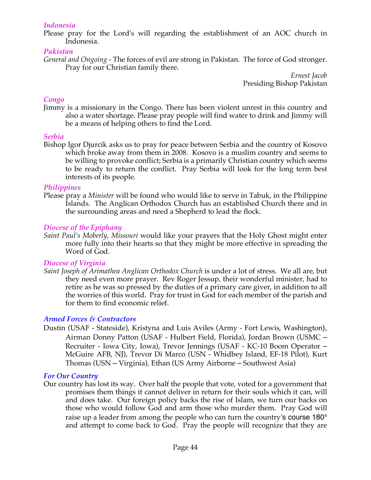#### *Indonesia*

Please pray for the Lord's will regarding the establishment of an AOC church in Indonesia.

#### *Pakistan*

*General and Ongoing -* The forces of evil are strong in Pakistan. The force of God stronger. Pray for our Christian family there.

*Ernest Jacob* Presiding Bishop Pakistan

#### *Congo*

Jimmy is a missionary in the Congo. There has been violent unrest in this country and also a water shortage. Please pray people will find water to drink and Jimmy will be a means of helping others to find the Lord.

#### *Serbia*

Bishop Igor Djurcik asks us to pray for peace between Serbia and the country of Kosovo which broke away from them in 2008. Kosovo is a muslim country and seems to be willing to provoke conflict; Serbia is a primarily Christian country which seems to be ready to return the conflict. Pray Serbia will look for the long term best interests of its people.

#### *Philippines*

Please pray a *Minister* will be found who would like to serve in Tabuk, in the Philippine Islands. The Anglican Orthodox Church has an established Church there and in the surrounding areas and need a Shepherd to lead the flock*.*

#### *Diocese of the Epiphany*

*Saint Paul's Moberly, Missouri* would like your prayers that the Holy Ghost might enter more fully into their hearts so that they might be more effective in spreading the Word of God.

#### *Diocese of Virginia*

*Saint Joseph of Arimathea Anglican Orthodox Church* is under a lot of stress. We all are, but they need even more prayer. Rev Roger Jessup, their wonderful minister, had to retire as he was so pressed by the duties of a primary care giver, in addition to all the worries of this world. Pray for trust in God for each member of the parish and for them to find economic relief.

#### *Armed Forces & Contractors*

Dustin (USAF - Stateside), Kristyna and Luis Aviles (Army - Fort Lewis, Washington), Airman Donny Patton (USAF - Hulbert Field, Florida), Jordan Brown (USMC – Recruiter - Iowa City, Iowa), Trevor Jennings (USAF - KC-10 Boom Operator – McGuire AFB, NJ), Trevor Di Marco (USN - Whidbey Island, EF-18 Pilot), Kurt Thomas (USN – Virginia), Ethan (US Army Airborne – Southwest Asia)

#### *For Our Country*

Our country has lost its way. Over half the people that vote, voted for a government that promises them things it cannot deliver in return for their souls which it can, will and does take. Our foreign policy backs the rise of Islam, we turn our backs on those who would follow God and arm those who murder them. Pray God will raise up a leader from among the people who can turn the country's course 180° and attempt to come back to God. Pray the people will recognize that they are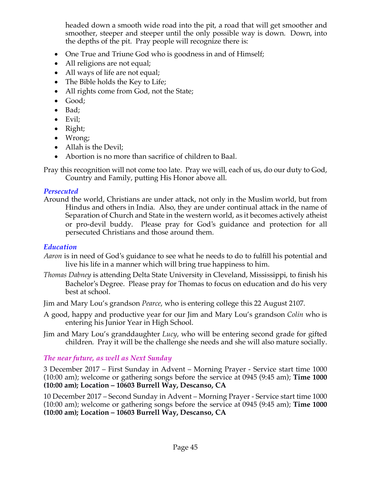headed down a smooth wide road into the pit, a road that will get smoother and smoother, steeper and steeper until the only possible way is down. Down, into the depths of the pit. Pray people will recognize there is:

- One True and Triune God who is goodness in and of Himself;
- All religions are not equal;
- All ways of life are not equal;
- The Bible holds the Key to Life;
- All rights come from God, not the State;
- Good;
- Bad;
- Evil;
- Right;
- Wrong;
- Allah is the Devil;
- Abortion is no more than sacrifice of children to Baal.

Pray this recognition will not come too late. Pray we will, each of us, do our duty to God, Country and Family, putting His Honor above all.

## *Persecuted*

Around the world, Christians are under attack, not only in the Muslim world, but from Hindus and others in India. Also, they are under continual attack in the name of Separation of Church and State in the western world, as it becomes actively atheist or pro-devil buddy. Please pray for God's guidance and protection for all persecuted Christians and those around them.

## *Education*

- *Aaron* is in need of God's guidance to see what he needs to do to fulfill his potential and live his life in a manner which will bring true happiness to him.
- *Thomas Dabney* is attending Delta State University in Cleveland, Mississippi, to finish his Bachelor's Degree. Please pray for Thomas to focus on education and do his very best at school.
- Jim and Mary Lou's grandson *Pearce*, who is entering college this 22 August 2107.
- A good, happy and productive year for our Jim and Mary Lou's grandson *Colin* who is entering his Junior Year in High School.
- Jim and Mary Lou's granddaughter *Lucy*, who will be entering second grade for gifted children. Pray it will be the challenge she needs and she will also mature socially.

#### *The near future, as well as Next Sunday*

3 December 2017 – First Sunday in Advent – Morning Prayer - Service start time 1000 (10:00 am); welcome or gathering songs before the service at 0945 (9:45 am); **Time 1000 (10:00 am); Location – 10603 Burrell Way, Descanso, CA**

10 December 2017 – Second Sunday in Advent – Morning Prayer - Service start time 1000 (10:00 am); welcome or gathering songs before the service at 0945 (9:45 am); **Time 1000 (10:00 am); Location – 10603 Burrell Way, Descanso, CA**